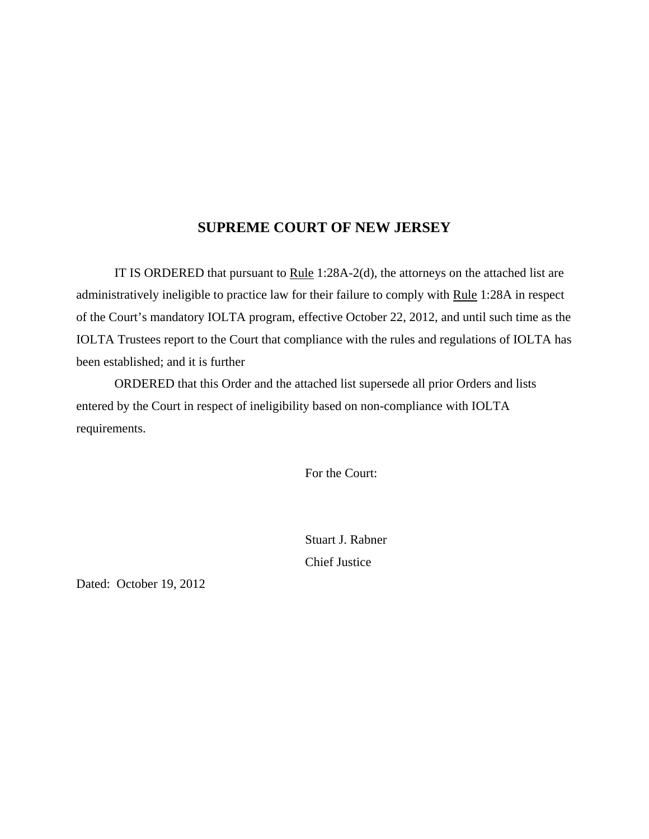#### **SUPREME COURT OF NEW JERSEY**

IT IS ORDERED that pursuant to  $Rule 1:28A-2(d)$ , the attorneys on the attached list are administratively ineligible to practice law for their failure to comply with Rule 1:28A in respect of the Court's mandatory IOLTA program, effective October 22, 2012, and until such time as the IOLTA Trustees report to the Court that compliance with the rules and regulations of IOLTA has been established; and it is further

ORDERED that this Order and the attached list supersede all prior Orders and lists entered by the Court in respect of ineligibility based on non-compliance with IOLTA requirements.

For the Court:

Stuart J. Rabner Chief Justice

Dated: October 19, 2012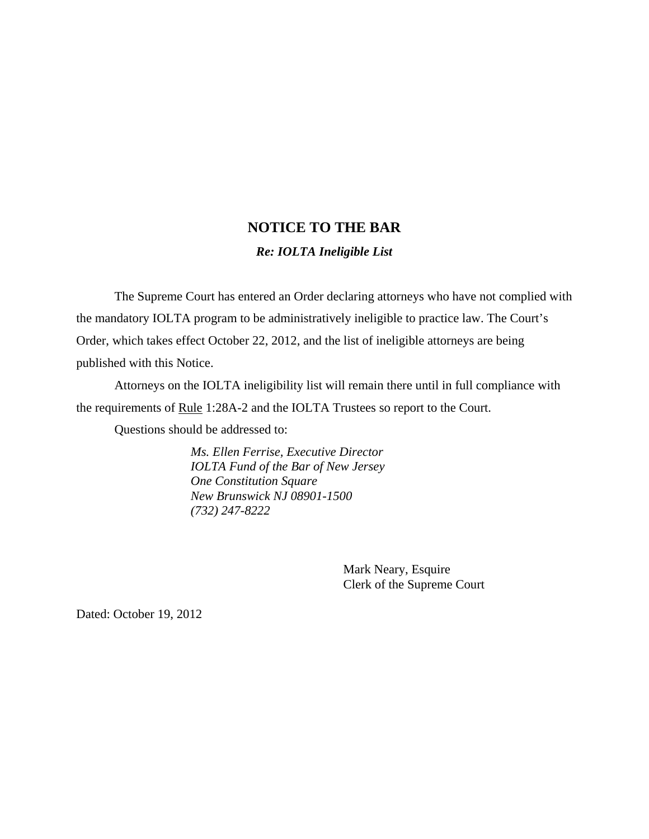# **NOTICE TO THE BAR**

#### *Re: IOLTA Ineligible List*

The Supreme Court has entered an Order declaring attorneys who have not complied with the mandatory IOLTA program to be administratively ineligible to practice law. The Court's Order, which takes effect October 22, 2012, and the list of ineligible attorneys are being published with this Notice.

Attorneys on the IOLTA ineligibility list will remain there until in full compliance with the requirements of Rule 1:28A-2 and the IOLTA Trustees so report to the Court.

Questions should be addressed to:

*Ms. Ellen Ferrise, Executive Director IOLTA Fund of the Bar of New Jersey One Constitution Square New Brunswick NJ 08901-1500 (732) 247-8222* 

> Mark Neary, Esquire Clerk of the Supreme Court

Dated: October 19, 2012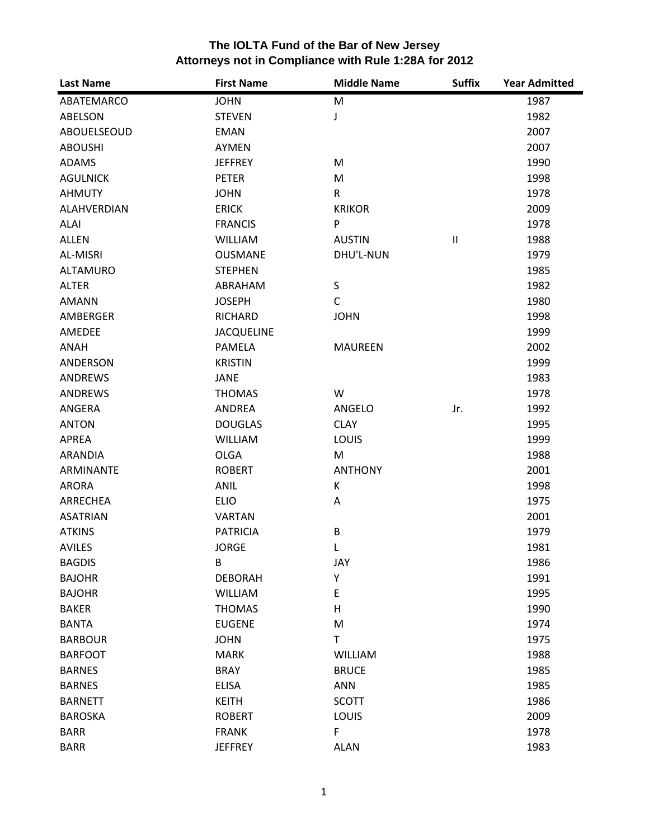| <b>Last Name</b>   | <b>First Name</b> | <b>Middle Name</b> | <b>Suffix</b>              | <b>Year Admitted</b> |
|--------------------|-------------------|--------------------|----------------------------|----------------------|
| ABATEMARCO         | <b>JOHN</b>       | M                  |                            | 1987                 |
| ABELSON            | <b>STEVEN</b>     | J                  |                            | 1982                 |
| ABOUELSEOUD        | <b>EMAN</b>       |                    |                            | 2007                 |
| <b>ABOUSHI</b>     | <b>AYMEN</b>      |                    |                            | 2007                 |
| <b>ADAMS</b>       | <b>JEFFREY</b>    | M                  |                            | 1990                 |
| <b>AGULNICK</b>    | <b>PETER</b>      | M                  |                            | 1998                 |
| <b>AHMUTY</b>      | <b>JOHN</b>       | $\mathsf{R}$       |                            | 1978                 |
| <b>ALAHVERDIAN</b> | <b>ERICK</b>      | <b>KRIKOR</b>      |                            | 2009                 |
| ALAI               | <b>FRANCIS</b>    | P                  |                            | 1978                 |
| <b>ALLEN</b>       | <b>WILLIAM</b>    | <b>AUSTIN</b>      | $\ensuremath{\mathsf{II}}$ | 1988                 |
| AL-MISRI           | <b>OUSMANE</b>    | DHU'L-NUN          |                            | 1979                 |
| <b>ALTAMURO</b>    | <b>STEPHEN</b>    |                    |                            | 1985                 |
| <b>ALTER</b>       | ABRAHAM           | S                  |                            | 1982                 |
| <b>AMANN</b>       | <b>JOSEPH</b>     | $\mathsf{C}$       |                            | 1980                 |
| <b>AMBERGER</b>    | <b>RICHARD</b>    | <b>JOHN</b>        |                            | 1998                 |
| AMEDEE             | <b>JACQUELINE</b> |                    |                            | 1999                 |
| ANAH               | <b>PAMELA</b>     | <b>MAUREEN</b>     |                            | 2002                 |
| ANDERSON           | <b>KRISTIN</b>    |                    |                            | 1999                 |
| <b>ANDREWS</b>     | <b>JANE</b>       |                    |                            | 1983                 |
| <b>ANDREWS</b>     | <b>THOMAS</b>     | W                  |                            | 1978                 |
| ANGERA             | ANDREA            | ANGELO             | Jr.                        | 1992                 |
| <b>ANTON</b>       | <b>DOUGLAS</b>    | <b>CLAY</b>        |                            | 1995                 |
| <b>APREA</b>       | <b>WILLIAM</b>    | LOUIS              |                            | 1999                 |
| <b>ARANDIA</b>     | <b>OLGA</b>       | M                  |                            | 1988                 |
| <b>ARMINANTE</b>   | <b>ROBERT</b>     | <b>ANTHONY</b>     |                            | 2001                 |
| <b>ARORA</b>       | <b>ANIL</b>       | K                  |                            | 1998                 |
| ARRECHEA           | <b>ELIO</b>       | A                  |                            | 1975                 |
| <b>ASATRIAN</b>    | <b>VARTAN</b>     |                    |                            | 2001                 |
| <b>ATKINS</b>      | <b>PATRICIA</b>   | B                  |                            | 1979                 |
| <b>AVILES</b>      | <b>JORGE</b>      | L                  |                            | 1981                 |
| <b>BAGDIS</b>      | B                 | JAY                |                            | 1986                 |
| <b>BAJOHR</b>      | <b>DEBORAH</b>    | Υ                  |                            | 1991                 |
| <b>BAJOHR</b>      | <b>WILLIAM</b>    | E                  |                            | 1995                 |
| <b>BAKER</b>       | <b>THOMAS</b>     | H                  |                            | 1990                 |
| <b>BANTA</b>       | <b>EUGENE</b>     | M                  |                            | 1974                 |
| <b>BARBOUR</b>     | <b>JOHN</b>       | T                  |                            | 1975                 |
| <b>BARFOOT</b>     | <b>MARK</b>       | WILLIAM            |                            | 1988                 |
| <b>BARNES</b>      | <b>BRAY</b>       | <b>BRUCE</b>       |                            | 1985                 |
| <b>BARNES</b>      | <b>ELISA</b>      | ANN                |                            | 1985                 |
| <b>BARNETT</b>     | <b>KEITH</b>      | <b>SCOTT</b>       |                            | 1986                 |
| <b>BAROSKA</b>     | <b>ROBERT</b>     | LOUIS              |                            | 2009                 |
| <b>BARR</b>        | <b>FRANK</b>      | F                  |                            | 1978                 |
| <b>BARR</b>        | <b>JEFFREY</b>    | <b>ALAN</b>        |                            | 1983                 |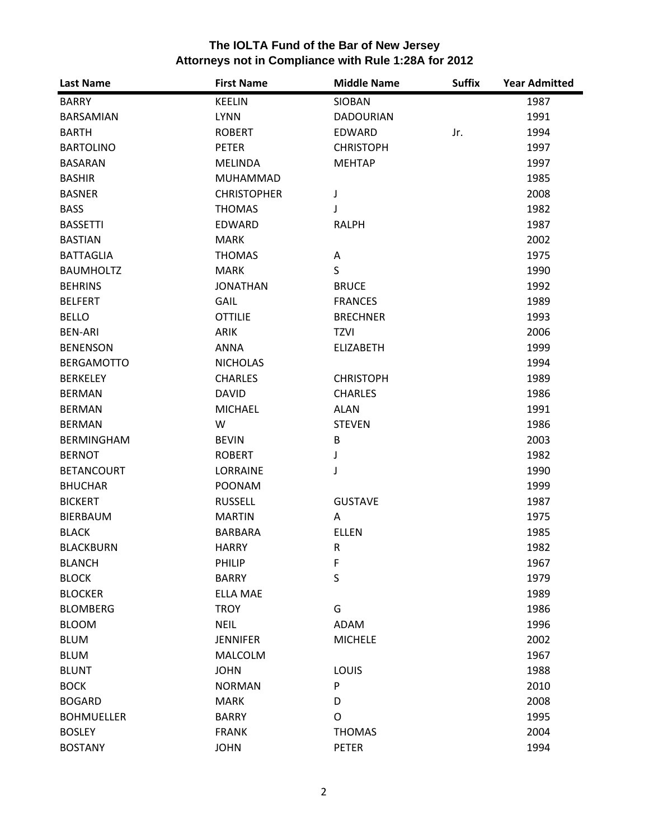| <b>Last Name</b>  | <b>First Name</b>  | <b>Middle Name</b> | <b>Suffix</b> | <b>Year Admitted</b> |
|-------------------|--------------------|--------------------|---------------|----------------------|
| <b>BARRY</b>      | <b>KEELIN</b>      | SIOBAN             |               | 1987                 |
| <b>BARSAMIAN</b>  | <b>LYNN</b>        | <b>DADOURIAN</b>   |               | 1991                 |
| <b>BARTH</b>      | <b>ROBERT</b>      | EDWARD             | Jr.           | 1994                 |
| <b>BARTOLINO</b>  | <b>PETER</b>       | <b>CHRISTOPH</b>   |               | 1997                 |
| <b>BASARAN</b>    | <b>MELINDA</b>     | <b>MEHTAP</b>      |               | 1997                 |
| <b>BASHIR</b>     | MUHAMMAD           |                    |               | 1985                 |
| <b>BASNER</b>     | <b>CHRISTOPHER</b> | J                  |               | 2008                 |
| <b>BASS</b>       | <b>THOMAS</b>      | J                  |               | 1982                 |
| <b>BASSETTI</b>   | <b>EDWARD</b>      | <b>RALPH</b>       |               | 1987                 |
| <b>BASTIAN</b>    | <b>MARK</b>        |                    |               | 2002                 |
| <b>BATTAGLIA</b>  | <b>THOMAS</b>      | Α                  |               | 1975                 |
| <b>BAUMHOLTZ</b>  | <b>MARK</b>        | S                  |               | 1990                 |
| <b>BEHRINS</b>    | <b>JONATHAN</b>    | <b>BRUCE</b>       |               | 1992                 |
| <b>BELFERT</b>    | GAIL               | <b>FRANCES</b>     |               | 1989                 |
| <b>BELLO</b>      | <b>OTTILIE</b>     | <b>BRECHNER</b>    |               | 1993                 |
| <b>BEN-ARI</b>    | <b>ARIK</b>        | TZVI               |               | 2006                 |
| <b>BENENSON</b>   | ANNA               | <b>ELIZABETH</b>   |               | 1999                 |
| <b>BERGAMOTTO</b> | <b>NICHOLAS</b>    |                    |               | 1994                 |
| <b>BERKELEY</b>   | <b>CHARLES</b>     | <b>CHRISTOPH</b>   |               | 1989                 |
| <b>BERMAN</b>     | <b>DAVID</b>       | <b>CHARLES</b>     |               | 1986                 |
| <b>BERMAN</b>     | <b>MICHAEL</b>     | <b>ALAN</b>        |               | 1991                 |
| <b>BERMAN</b>     | W                  | <b>STEVEN</b>      |               | 1986                 |
| <b>BERMINGHAM</b> | <b>BEVIN</b>       | B                  |               | 2003                 |
| <b>BERNOT</b>     | <b>ROBERT</b>      | J                  |               | 1982                 |
| <b>BETANCOURT</b> | <b>LORRAINE</b>    | J                  |               | 1990                 |
| <b>BHUCHAR</b>    | <b>POONAM</b>      |                    |               | 1999                 |
| <b>BICKERT</b>    | <b>RUSSELL</b>     | <b>GUSTAVE</b>     |               | 1987                 |
| <b>BIERBAUM</b>   | <b>MARTIN</b>      | Α                  |               | 1975                 |
| <b>BLACK</b>      | <b>BARBARA</b>     | <b>ELLEN</b>       |               | 1985                 |
| <b>BLACKBURN</b>  | <b>HARRY</b>       | ${\sf R}$          |               | 1982                 |
| <b>BLANCH</b>     | PHILIP             | $\mathsf F$        |               | 1967                 |
| <b>BLOCK</b>      | <b>BARRY</b>       | S                  |               | 1979                 |
| <b>BLOCKER</b>    | <b>ELLA MAE</b>    |                    |               | 1989                 |
| <b>BLOMBERG</b>   | <b>TROY</b>        | G                  |               | 1986                 |
| <b>BLOOM</b>      | <b>NEIL</b>        | ADAM               |               | 1996                 |
| <b>BLUM</b>       | <b>JENNIFER</b>    | <b>MICHELE</b>     |               | 2002                 |
| <b>BLUM</b>       | <b>MALCOLM</b>     |                    |               | 1967                 |
| <b>BLUNT</b>      | <b>JOHN</b>        | LOUIS              |               | 1988                 |
| <b>BOCK</b>       | <b>NORMAN</b>      | P                  |               | 2010                 |
| <b>BOGARD</b>     | <b>MARK</b>        | D                  |               | 2008                 |
| <b>BOHMUELLER</b> | <b>BARRY</b>       | O                  |               | 1995                 |
| <b>BOSLEY</b>     | <b>FRANK</b>       | <b>THOMAS</b>      |               | 2004                 |
| <b>BOSTANY</b>    | <b>JOHN</b>        | <b>PETER</b>       |               | 1994                 |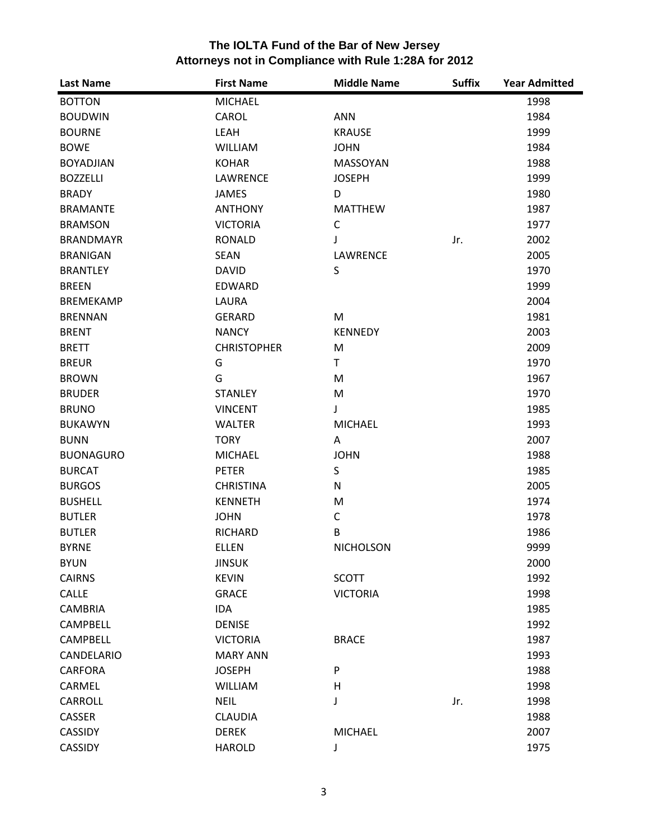| <b>Last Name</b>  | <b>First Name</b>  | <b>Middle Name</b> | <b>Suffix</b> | <b>Year Admitted</b> |
|-------------------|--------------------|--------------------|---------------|----------------------|
| <b>BOTTON</b>     | <b>MICHAEL</b>     |                    |               | 1998                 |
| <b>BOUDWIN</b>    | CAROL              | <b>ANN</b>         |               | 1984                 |
| <b>BOURNE</b>     | LEAH               | <b>KRAUSE</b>      |               | 1999                 |
| <b>BOWE</b>       | <b>WILLIAM</b>     | <b>JOHN</b>        |               | 1984                 |
| <b>BOYADJIAN</b>  | <b>KOHAR</b>       | MASSOYAN           |               | 1988                 |
| <b>BOZZELLI</b>   | LAWRENCE           | <b>JOSEPH</b>      |               | 1999                 |
| <b>BRADY</b>      | <b>JAMES</b>       | D                  |               | 1980                 |
| <b>BRAMANTE</b>   | <b>ANTHONY</b>     | <b>MATTHEW</b>     |               | 1987                 |
| <b>BRAMSON</b>    | <b>VICTORIA</b>    | C                  |               | 1977                 |
| <b>BRANDMAYR</b>  | <b>RONALD</b>      | J                  | Jr.           | 2002                 |
| <b>BRANIGAN</b>   | <b>SEAN</b>        | <b>LAWRENCE</b>    |               | 2005                 |
| <b>BRANTLEY</b>   | <b>DAVID</b>       | S                  |               | 1970                 |
| <b>BREEN</b>      | <b>EDWARD</b>      |                    |               | 1999                 |
| <b>BREMEKAMP</b>  | LAURA              |                    |               | 2004                 |
| <b>BRENNAN</b>    | <b>GERARD</b>      | M                  |               | 1981                 |
| <b>BRENT</b>      | <b>NANCY</b>       | <b>KENNEDY</b>     |               | 2003                 |
| <b>BRETT</b>      | <b>CHRISTOPHER</b> | M                  |               | 2009                 |
| <b>BREUR</b>      | G                  | T.                 |               | 1970                 |
| <b>BROWN</b>      | G                  | M                  |               | 1967                 |
| <b>BRUDER</b>     | <b>STANLEY</b>     | M                  |               | 1970                 |
| <b>BRUNO</b>      | <b>VINCENT</b>     | J                  |               | 1985                 |
| <b>BUKAWYN</b>    | <b>WALTER</b>      | <b>MICHAEL</b>     |               | 1993                 |
| <b>BUNN</b>       | <b>TORY</b>        | A                  |               | 2007                 |
| <b>BUONAGURO</b>  | <b>MICHAEL</b>     | <b>JOHN</b>        |               | 1988                 |
| <b>BURCAT</b>     | <b>PETER</b>       | S                  |               | 1985                 |
| <b>BURGOS</b>     | <b>CHRISTINA</b>   | N                  |               | 2005                 |
| <b>BUSHELL</b>    | <b>KENNETH</b>     | M                  |               | 1974                 |
| <b>BUTLER</b>     | <b>JOHN</b>        | C                  |               | 1978                 |
| <b>BUTLER</b>     | <b>RICHARD</b>     | B                  |               | 1986                 |
| <b>BYRNE</b>      | <b>ELLEN</b>       | <b>NICHOLSON</b>   |               | 9999                 |
| <b>BYUN</b>       | <b>JINSUK</b>      |                    |               | 2000                 |
| <b>CAIRNS</b>     | <b>KEVIN</b>       | <b>SCOTT</b>       |               | 1992                 |
| CALLE             | <b>GRACE</b>       | <b>VICTORIA</b>    |               | 1998                 |
| <b>CAMBRIA</b>    | <b>IDA</b>         |                    |               | 1985                 |
| <b>CAMPBELL</b>   | <b>DENISE</b>      |                    |               | 1992                 |
| <b>CAMPBELL</b>   | <b>VICTORIA</b>    | <b>BRACE</b>       |               | 1987                 |
| <b>CANDELARIO</b> | <b>MARY ANN</b>    |                    |               | 1993                 |
| <b>CARFORA</b>    | <b>JOSEPH</b>      | P                  |               | 1988                 |
| CARMEL            | <b>WILLIAM</b>     | н                  |               | 1998                 |
| CARROLL           | <b>NEIL</b>        | J                  | Jr.           | 1998                 |
| CASSER            | <b>CLAUDIA</b>     |                    |               | 1988                 |
| <b>CASSIDY</b>    | <b>DEREK</b>       | <b>MICHAEL</b>     |               | 2007                 |
| <b>CASSIDY</b>    | <b>HAROLD</b>      | J                  |               | 1975                 |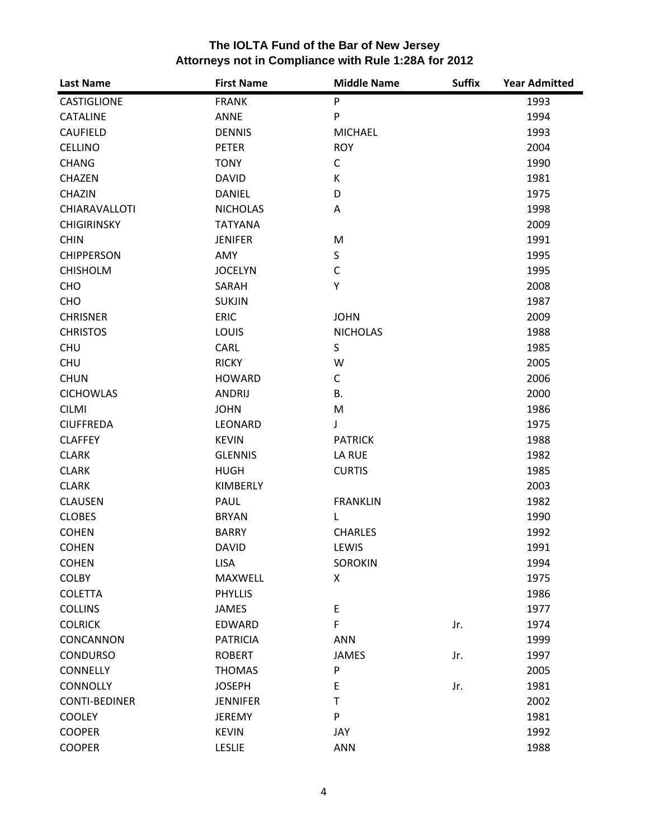| <b>Last Name</b>     | <b>First Name</b> | <b>Middle Name</b> | <b>Suffix</b> | <b>Year Admitted</b> |
|----------------------|-------------------|--------------------|---------------|----------------------|
| <b>CASTIGLIONE</b>   | <b>FRANK</b>      | ${\sf P}$          |               | 1993                 |
| <b>CATALINE</b>      | ANNE              | P                  |               | 1994                 |
| <b>CAUFIELD</b>      | <b>DENNIS</b>     | <b>MICHAEL</b>     |               | 1993                 |
| <b>CELLINO</b>       | <b>PETER</b>      | <b>ROY</b>         |               | 2004                 |
| <b>CHANG</b>         | <b>TONY</b>       | $\mathsf C$        |               | 1990                 |
| <b>CHAZEN</b>        | <b>DAVID</b>      | К                  |               | 1981                 |
| <b>CHAZIN</b>        | <b>DANIEL</b>     | D                  |               | 1975                 |
| <b>CHIARAVALLOTI</b> | <b>NICHOLAS</b>   | Α                  |               | 1998                 |
| <b>CHIGIRINSKY</b>   | <b>TATYANA</b>    |                    |               | 2009                 |
| <b>CHIN</b>          | <b>JENIFER</b>    | M                  |               | 1991                 |
| <b>CHIPPERSON</b>    | AMY               | S                  |               | 1995                 |
| <b>CHISHOLM</b>      | <b>JOCELYN</b>    | $\mathsf{C}$       |               | 1995                 |
| CHO                  | SARAH             | Y                  |               | 2008                 |
| CHO                  | <b>SUKJIN</b>     |                    |               | 1987                 |
| <b>CHRISNER</b>      | <b>ERIC</b>       | <b>JOHN</b>        |               | 2009                 |
| <b>CHRISTOS</b>      | <b>LOUIS</b>      | <b>NICHOLAS</b>    |               | 1988                 |
| <b>CHU</b>           | CARL              | S                  |               | 1985                 |
| <b>CHU</b>           | <b>RICKY</b>      | W                  |               | 2005                 |
| <b>CHUN</b>          | <b>HOWARD</b>     | C                  |               | 2006                 |
| <b>CICHOWLAS</b>     | <b>ANDRIJ</b>     | <b>B.</b>          |               | 2000                 |
| <b>CILMI</b>         | <b>JOHN</b>       | M                  |               | 1986                 |
| <b>CIUFFREDA</b>     | LEONARD           | J                  |               | 1975                 |
| <b>CLAFFEY</b>       | <b>KEVIN</b>      | <b>PATRICK</b>     |               | 1988                 |
| <b>CLARK</b>         | <b>GLENNIS</b>    | LA RUE             |               | 1982                 |
| <b>CLARK</b>         | <b>HUGH</b>       | <b>CURTIS</b>      |               | 1985                 |
| <b>CLARK</b>         | KIMBERLY          |                    |               | 2003                 |
| <b>CLAUSEN</b>       | PAUL              | <b>FRANKLIN</b>    |               | 1982                 |
| <b>CLOBES</b>        | <b>BRYAN</b>      | L                  |               | 1990                 |
| <b>COHEN</b>         | <b>BARRY</b>      | <b>CHARLES</b>     |               | 1992                 |
| <b>COHEN</b>         | <b>DAVID</b>      | LEWIS              |               | 1991                 |
| <b>COHEN</b>         | <b>LISA</b>       | <b>SOROKIN</b>     |               | 1994                 |
| <b>COLBY</b>         | MAXWELL           | X                  |               | 1975                 |
| <b>COLETTA</b>       | <b>PHYLLIS</b>    |                    |               | 1986                 |
| <b>COLLINS</b>       | JAMES             | E                  |               | 1977                 |
| <b>COLRICK</b>       | EDWARD            | F                  | Jr.           | 1974                 |
| CONCANNON            | <b>PATRICIA</b>   | <b>ANN</b>         |               | 1999                 |
| <b>CONDURSO</b>      | <b>ROBERT</b>     | <b>JAMES</b>       | Jr.           | 1997                 |
| <b>CONNELLY</b>      | <b>THOMAS</b>     | P                  |               | 2005                 |
| <b>CONNOLLY</b>      | <b>JOSEPH</b>     | E                  | Jr.           | 1981                 |
| <b>CONTI-BEDINER</b> | <b>JENNIFER</b>   | $\mathsf T$        |               | 2002                 |
| <b>COOLEY</b>        | <b>JEREMY</b>     | P                  |               | 1981                 |
| <b>COOPER</b>        | <b>KEVIN</b>      | JAY                |               | 1992                 |
| <b>COOPER</b>        | <b>LESLIE</b>     | <b>ANN</b>         |               | 1988                 |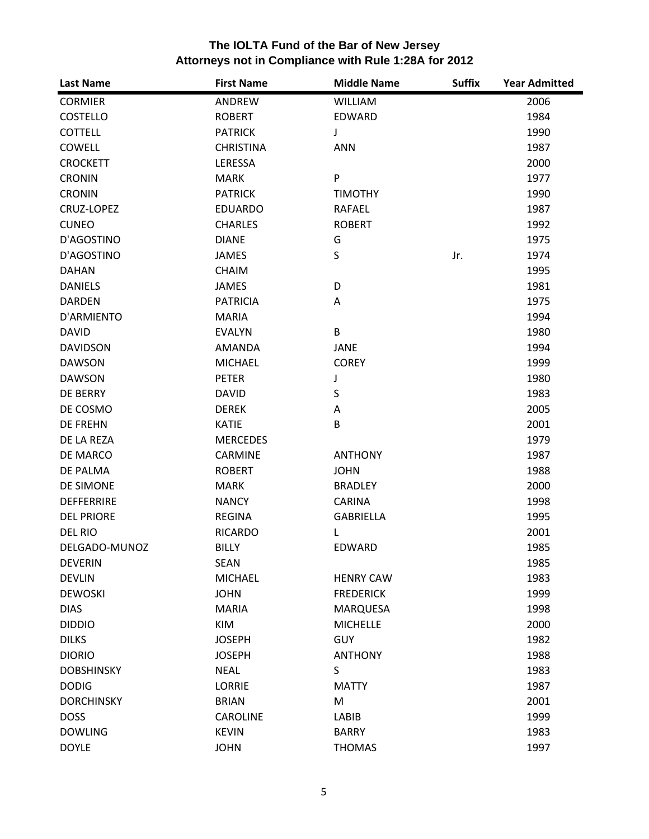| The IOLTA Fund of the Bar of New Jersey              |
|------------------------------------------------------|
| Attorneys not in Compliance with Rule 1:28A for 2012 |

| <b>Last Name</b>  | <b>First Name</b> | <b>Middle Name</b> | <b>Suffix</b> | <b>Year Admitted</b> |
|-------------------|-------------------|--------------------|---------------|----------------------|
| <b>CORMIER</b>    | ANDREW            | <b>WILLIAM</b>     |               | 2006                 |
| <b>COSTELLO</b>   | <b>ROBERT</b>     | EDWARD             |               | 1984                 |
| <b>COTTELL</b>    | <b>PATRICK</b>    | J                  |               | 1990                 |
| COWELL            | <b>CHRISTINA</b>  | <b>ANN</b>         |               | 1987                 |
| <b>CROCKETT</b>   | LERESSA           |                    |               | 2000                 |
| <b>CRONIN</b>     | <b>MARK</b>       | P                  |               | 1977                 |
| <b>CRONIN</b>     | <b>PATRICK</b>    | <b>TIMOTHY</b>     |               | 1990                 |
| CRUZ-LOPEZ        | <b>EDUARDO</b>    | <b>RAFAEL</b>      |               | 1987                 |
| <b>CUNEO</b>      | <b>CHARLES</b>    | <b>ROBERT</b>      |               | 1992                 |
| D'AGOSTINO        | <b>DIANE</b>      | G                  |               | 1975                 |
| D'AGOSTINO        | <b>JAMES</b>      | S                  | Jr.           | 1974                 |
| <b>DAHAN</b>      | <b>CHAIM</b>      |                    |               | 1995                 |
| <b>DANIELS</b>    | <b>JAMES</b>      | D                  |               | 1981                 |
| <b>DARDEN</b>     | <b>PATRICIA</b>   | Α                  |               | 1975                 |
| D'ARMIENTO        | <b>MARIA</b>      |                    |               | 1994                 |
| <b>DAVID</b>      | <b>EVALYN</b>     | B                  |               | 1980                 |
| <b>DAVIDSON</b>   | <b>AMANDA</b>     | <b>JANE</b>        |               | 1994                 |
| <b>DAWSON</b>     | <b>MICHAEL</b>    | <b>COREY</b>       |               | 1999                 |
| <b>DAWSON</b>     | <b>PETER</b>      | J                  |               | 1980                 |
| DE BERRY          | <b>DAVID</b>      | S                  |               | 1983                 |
| DE COSMO          | <b>DEREK</b>      | Α                  |               | 2005                 |
| <b>DE FREHN</b>   | <b>KATIE</b>      | B                  |               | 2001                 |
| DE LA REZA        | <b>MERCEDES</b>   |                    |               | 1979                 |
| DE MARCO          | CARMINE           | <b>ANTHONY</b>     |               | 1987                 |
| DE PALMA          | <b>ROBERT</b>     | <b>JOHN</b>        |               | 1988                 |
| DE SIMONE         | <b>MARK</b>       | <b>BRADLEY</b>     |               | 2000                 |
| <b>DEFFERRIRE</b> | <b>NANCY</b>      | <b>CARINA</b>      |               | 1998                 |
| <b>DEL PRIORE</b> | <b>REGINA</b>     | <b>GABRIELLA</b>   |               | 1995                 |
| <b>DEL RIO</b>    | <b>RICARDO</b>    | L                  |               | 2001                 |
| DELGADO-MUNOZ     | <b>BILLY</b>      | EDWARD             |               | 1985                 |
| <b>DEVERIN</b>    | <b>SEAN</b>       |                    |               | 1985                 |
| <b>DEVLIN</b>     | <b>MICHAEL</b>    | <b>HENRY CAW</b>   |               | 1983                 |
| <b>DEWOSKI</b>    | <b>JOHN</b>       | <b>FREDERICK</b>   |               | 1999                 |
| <b>DIAS</b>       | <b>MARIA</b>      | <b>MARQUESA</b>    |               | 1998                 |
| <b>DIDDIO</b>     | <b>KIM</b>        | <b>MICHELLE</b>    |               | 2000                 |
| <b>DILKS</b>      | <b>JOSEPH</b>     | <b>GUY</b>         |               | 1982                 |
| <b>DIORIO</b>     | <b>JOSEPH</b>     | <b>ANTHONY</b>     |               | 1988                 |
| <b>DOBSHINSKY</b> | <b>NEAL</b>       | S                  |               | 1983                 |
| <b>DODIG</b>      | <b>LORRIE</b>     | <b>MATTY</b>       |               | 1987                 |
| <b>DORCHINSKY</b> | <b>BRIAN</b>      | M                  |               | 2001                 |
| <b>DOSS</b>       | <b>CAROLINE</b>   | LABIB              |               | 1999                 |
| <b>DOWLING</b>    | <b>KEVIN</b>      | <b>BARRY</b>       |               | 1983                 |
| <b>DOYLE</b>      | <b>JOHN</b>       | <b>THOMAS</b>      |               | 1997                 |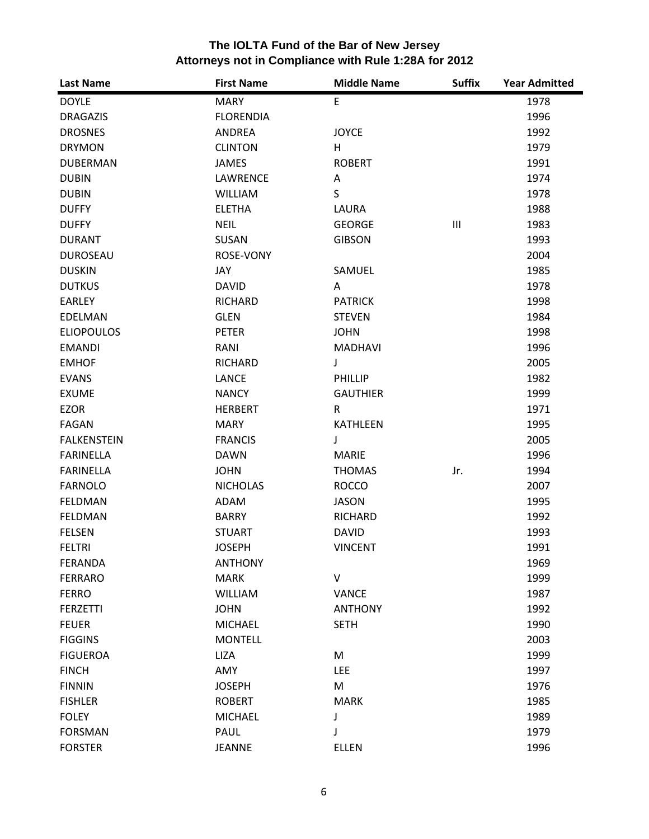| <b>Last Name</b>   | <b>First Name</b> | <b>Middle Name</b> | <b>Suffix</b>                      | <b>Year Admitted</b> |
|--------------------|-------------------|--------------------|------------------------------------|----------------------|
| <b>DOYLE</b>       | <b>MARY</b>       | E                  |                                    | 1978                 |
| <b>DRAGAZIS</b>    | <b>FLORENDIA</b>  |                    |                                    | 1996                 |
| <b>DROSNES</b>     | ANDREA            | <b>JOYCE</b>       |                                    | 1992                 |
| <b>DRYMON</b>      | <b>CLINTON</b>    | H                  |                                    | 1979                 |
| <b>DUBERMAN</b>    | <b>JAMES</b>      | <b>ROBERT</b>      |                                    | 1991                 |
| <b>DUBIN</b>       | LAWRENCE          | Α                  |                                    | 1974                 |
| <b>DUBIN</b>       | <b>WILLIAM</b>    | S                  |                                    | 1978                 |
| <b>DUFFY</b>       | <b>ELETHA</b>     | LAURA              |                                    | 1988                 |
| <b>DUFFY</b>       | <b>NEIL</b>       | <b>GEORGE</b>      | $\ensuremath{\mathsf{III}}\xspace$ | 1983                 |
| <b>DURANT</b>      | SUSAN             | <b>GIBSON</b>      |                                    | 1993                 |
| <b>DUROSEAU</b>    | ROSE-VONY         |                    |                                    | 2004                 |
| <b>DUSKIN</b>      | JAY               | SAMUEL             |                                    | 1985                 |
| <b>DUTKUS</b>      | <b>DAVID</b>      | A                  |                                    | 1978                 |
| EARLEY             | <b>RICHARD</b>    | <b>PATRICK</b>     |                                    | 1998                 |
| EDELMAN            | <b>GLEN</b>       | <b>STEVEN</b>      |                                    | 1984                 |
| <b>ELIOPOULOS</b>  | <b>PETER</b>      | <b>JOHN</b>        |                                    | 1998                 |
| <b>EMANDI</b>      | RANI              | <b>MADHAVI</b>     |                                    | 1996                 |
| <b>EMHOF</b>       | <b>RICHARD</b>    | J                  |                                    | 2005                 |
| <b>EVANS</b>       | <b>LANCE</b>      | <b>PHILLIP</b>     |                                    | 1982                 |
| <b>EXUME</b>       | <b>NANCY</b>      | <b>GAUTHIER</b>    |                                    | 1999                 |
| <b>EZOR</b>        | <b>HERBERT</b>    | R                  |                                    | 1971                 |
| FAGAN              | <b>MARY</b>       | <b>KATHLEEN</b>    |                                    | 1995                 |
| <b>FALKENSTEIN</b> | <b>FRANCIS</b>    | J                  |                                    | 2005                 |
| <b>FARINELLA</b>   | <b>DAWN</b>       | <b>MARIE</b>       |                                    | 1996                 |
| <b>FARINELLA</b>   | <b>JOHN</b>       | <b>THOMAS</b>      | Jr.                                | 1994                 |
| <b>FARNOLO</b>     | <b>NICHOLAS</b>   | <b>ROCCO</b>       |                                    | 2007                 |
| <b>FELDMAN</b>     | ADAM              | <b>JASON</b>       |                                    | 1995                 |
| <b>FELDMAN</b>     | <b>BARRY</b>      | <b>RICHARD</b>     |                                    | 1992                 |
| <b>FELSEN</b>      | <b>STUART</b>     | <b>DAVID</b>       |                                    | 1993                 |
| <b>FELTRI</b>      | <b>JOSEPH</b>     | <b>VINCENT</b>     |                                    | 1991                 |
| FERANDA            | <b>ANTHONY</b>    |                    |                                    | 1969                 |
| <b>FERRARO</b>     | <b>MARK</b>       | V                  |                                    | 1999                 |
| <b>FERRO</b>       | WILLIAM           | <b>VANCE</b>       |                                    | 1987                 |
| <b>FERZETTI</b>    | <b>JOHN</b>       | <b>ANTHONY</b>     |                                    | 1992                 |
| <b>FEUER</b>       | <b>MICHAEL</b>    | <b>SETH</b>        |                                    | 1990                 |
| <b>FIGGINS</b>     | <b>MONTELL</b>    |                    |                                    | 2003                 |
| <b>FIGUEROA</b>    | <b>LIZA</b>       | M                  |                                    | 1999                 |
| <b>FINCH</b>       | AMY               | LEE                |                                    | 1997                 |
| <b>FINNIN</b>      | <b>JOSEPH</b>     | M                  |                                    | 1976                 |
| <b>FISHLER</b>     | <b>ROBERT</b>     | <b>MARK</b>        |                                    | 1985                 |
| <b>FOLEY</b>       | <b>MICHAEL</b>    | J                  |                                    | 1989                 |
| <b>FORSMAN</b>     | PAUL              | J                  |                                    | 1979                 |
| <b>FORSTER</b>     | <b>JEANNE</b>     | <b>ELLEN</b>       |                                    | 1996                 |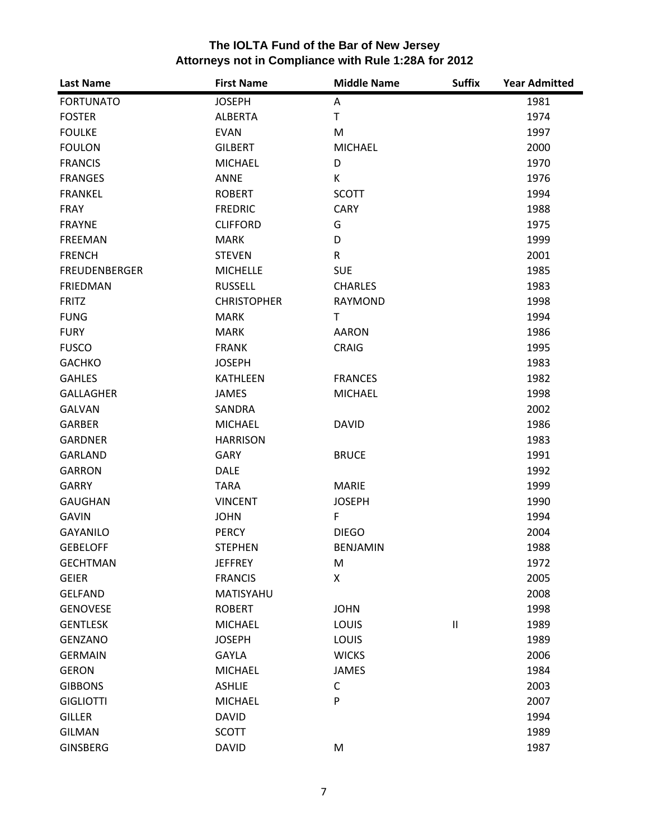| <b>Last Name</b>     | <b>First Name</b>  | <b>Middle Name</b> | <b>Suffix</b>              | <b>Year Admitted</b> |
|----------------------|--------------------|--------------------|----------------------------|----------------------|
| <b>FORTUNATO</b>     | <b>JOSEPH</b>      | Α                  |                            | 1981                 |
| <b>FOSTER</b>        | <b>ALBERTA</b>     | T                  |                            | 1974                 |
| <b>FOULKE</b>        | <b>EVAN</b>        | M                  |                            | 1997                 |
| <b>FOULON</b>        | <b>GILBERT</b>     | <b>MICHAEL</b>     |                            | 2000                 |
| <b>FRANCIS</b>       | <b>MICHAEL</b>     | D                  |                            | 1970                 |
| <b>FRANGES</b>       | <b>ANNE</b>        | K                  |                            | 1976                 |
| <b>FRANKEL</b>       | <b>ROBERT</b>      | <b>SCOTT</b>       |                            | 1994                 |
| <b>FRAY</b>          | <b>FREDRIC</b>     | <b>CARY</b>        |                            | 1988                 |
| <b>FRAYNE</b>        | <b>CLIFFORD</b>    | G                  |                            | 1975                 |
| <b>FREEMAN</b>       | <b>MARK</b>        | D                  |                            | 1999                 |
| <b>FRENCH</b>        | <b>STEVEN</b>      | $\mathsf{R}$       |                            | 2001                 |
| <b>FREUDENBERGER</b> | <b>MICHELLE</b>    | <b>SUE</b>         |                            | 1985                 |
| <b>FRIEDMAN</b>      | <b>RUSSELL</b>     | <b>CHARLES</b>     |                            | 1983                 |
| <b>FRITZ</b>         | <b>CHRISTOPHER</b> | <b>RAYMOND</b>     |                            | 1998                 |
| <b>FUNG</b>          | <b>MARK</b>        | T.                 |                            | 1994                 |
| <b>FURY</b>          | <b>MARK</b>        | <b>AARON</b>       |                            | 1986                 |
| <b>FUSCO</b>         | <b>FRANK</b>       | <b>CRAIG</b>       |                            | 1995                 |
| <b>GACHKO</b>        | <b>JOSEPH</b>      |                    |                            | 1983                 |
| <b>GAHLES</b>        | <b>KATHLEEN</b>    | <b>FRANCES</b>     |                            | 1982                 |
| GALLAGHER            | <b>JAMES</b>       | <b>MICHAEL</b>     |                            | 1998                 |
| <b>GALVAN</b>        | <b>SANDRA</b>      |                    |                            | 2002                 |
| <b>GARBER</b>        | <b>MICHAEL</b>     | <b>DAVID</b>       |                            | 1986                 |
| <b>GARDNER</b>       | <b>HARRISON</b>    |                    |                            | 1983                 |
| <b>GARLAND</b>       | <b>GARY</b>        | <b>BRUCE</b>       |                            | 1991                 |
| <b>GARRON</b>        | <b>DALE</b>        |                    |                            | 1992                 |
| <b>GARRY</b>         | <b>TARA</b>        | <b>MARIE</b>       |                            | 1999                 |
| <b>GAUGHAN</b>       | <b>VINCENT</b>     | <b>JOSEPH</b>      |                            | 1990                 |
| <b>GAVIN</b>         | <b>JOHN</b>        | $\mathsf F$        |                            | 1994                 |
| <b>GAYANILO</b>      | <b>PERCY</b>       | <b>DIEGO</b>       |                            | 2004                 |
| <b>GEBELOFF</b>      | <b>STEPHEN</b>     | <b>BENJAMIN</b>    |                            | 1988                 |
| <b>GECHTMAN</b>      | <b>JEFFREY</b>     | M                  |                            | 1972                 |
| <b>GEIER</b>         | <b>FRANCIS</b>     | X                  |                            | 2005                 |
| <b>GELFAND</b>       | MATISYAHU          |                    |                            | 2008                 |
| <b>GENOVESE</b>      | <b>ROBERT</b>      | <b>JOHN</b>        |                            | 1998                 |
| <b>GENTLESK</b>      | <b>MICHAEL</b>     | LOUIS              | $\ensuremath{\mathsf{II}}$ | 1989                 |
| <b>GENZANO</b>       | <b>JOSEPH</b>      | LOUIS              |                            | 1989                 |
| <b>GERMAIN</b>       | <b>GAYLA</b>       | <b>WICKS</b>       |                            | 2006                 |
| <b>GERON</b>         | <b>MICHAEL</b>     | <b>JAMES</b>       |                            | 1984                 |
| <b>GIBBONS</b>       | <b>ASHLIE</b>      | C                  |                            | 2003                 |
| <b>GIGLIOTTI</b>     | <b>MICHAEL</b>     | P                  |                            | 2007                 |
| <b>GILLER</b>        | <b>DAVID</b>       |                    |                            | 1994                 |
| <b>GILMAN</b>        | <b>SCOTT</b>       |                    |                            | 1989                 |
| <b>GINSBERG</b>      | <b>DAVID</b>       | M                  |                            | 1987                 |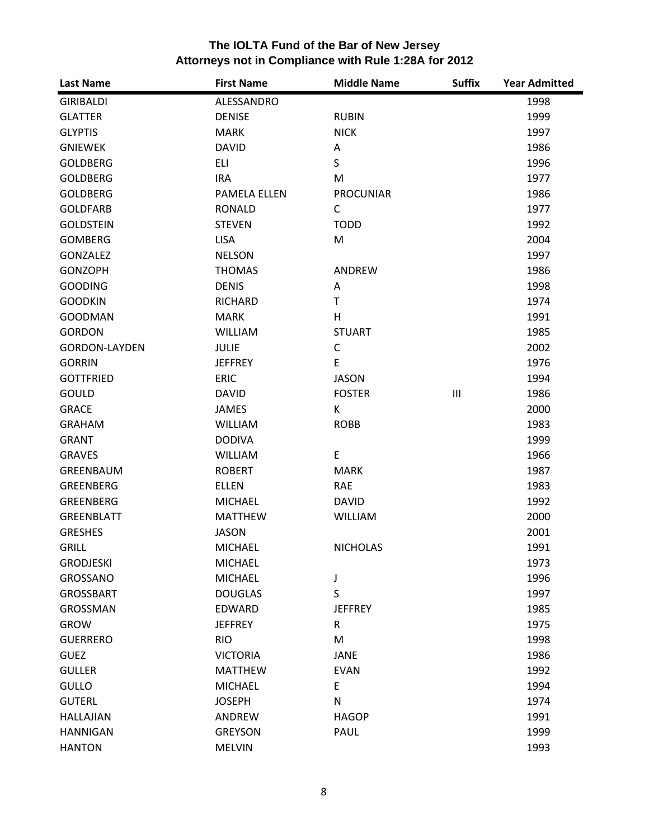| <b>Last Name</b>     | <b>First Name</b>   | <b>Middle Name</b> | <b>Suffix</b>                      | <b>Year Admitted</b> |
|----------------------|---------------------|--------------------|------------------------------------|----------------------|
| <b>GIRIBALDI</b>     | ALESSANDRO          |                    |                                    | 1998                 |
| <b>GLATTER</b>       | <b>DENISE</b>       | <b>RUBIN</b>       |                                    | 1999                 |
| <b>GLYPTIS</b>       | <b>MARK</b>         | <b>NICK</b>        |                                    | 1997                 |
| <b>GNIEWEK</b>       | <b>DAVID</b>        | Α                  |                                    | 1986                 |
| <b>GOLDBERG</b>      | <b>ELI</b>          | S                  |                                    | 1996                 |
| <b>GOLDBERG</b>      | <b>IRA</b>          | M                  |                                    | 1977                 |
| <b>GOLDBERG</b>      | <b>PAMELA ELLEN</b> | <b>PROCUNIAR</b>   |                                    | 1986                 |
| <b>GOLDFARB</b>      | <b>RONALD</b>       | $\mathsf{C}$       |                                    | 1977                 |
| <b>GOLDSTEIN</b>     | <b>STEVEN</b>       | <b>TODD</b>        |                                    | 1992                 |
| <b>GOMBERG</b>       | <b>LISA</b>         | M                  |                                    | 2004                 |
| GONZALEZ             | <b>NELSON</b>       |                    |                                    | 1997                 |
| <b>GONZOPH</b>       | <b>THOMAS</b>       | ANDREW             |                                    | 1986                 |
| <b>GOODING</b>       | <b>DENIS</b>        | Α                  |                                    | 1998                 |
| <b>GOODKIN</b>       | <b>RICHARD</b>      | T.                 |                                    | 1974                 |
| <b>GOODMAN</b>       | <b>MARK</b>         | H                  |                                    | 1991                 |
| <b>GORDON</b>        | <b>WILLIAM</b>      | <b>STUART</b>      |                                    | 1985                 |
| <b>GORDON-LAYDEN</b> | <b>JULIE</b>        | $\mathsf C$        |                                    | 2002                 |
| <b>GORRIN</b>        | <b>JEFFREY</b>      | E                  |                                    | 1976                 |
| <b>GOTTFRIED</b>     | <b>ERIC</b>         | <b>JASON</b>       |                                    | 1994                 |
| GOULD                | <b>DAVID</b>        | <b>FOSTER</b>      | $\ensuremath{\mathsf{III}}\xspace$ | 1986                 |
| <b>GRACE</b>         | <b>JAMES</b>        | К                  |                                    | 2000                 |
| <b>GRAHAM</b>        | <b>WILLIAM</b>      | <b>ROBB</b>        |                                    | 1983                 |
| <b>GRANT</b>         | <b>DODIVA</b>       |                    |                                    | 1999                 |
| <b>GRAVES</b>        | WILLIAM             | E                  |                                    | 1966                 |
| GREENBAUM            | <b>ROBERT</b>       | <b>MARK</b>        |                                    | 1987                 |
| GREENBERG            | <b>ELLEN</b>        | RAE                |                                    | 1983                 |
| <b>GREENBERG</b>     | <b>MICHAEL</b>      | <b>DAVID</b>       |                                    | 1992                 |
| <b>GREENBLATT</b>    | <b>MATTHEW</b>      | <b>WILLIAM</b>     |                                    | 2000                 |
| <b>GRESHES</b>       | <b>JASON</b>        |                    |                                    | 2001                 |
| <b>GRILL</b>         | <b>MICHAEL</b>      | <b>NICHOLAS</b>    |                                    | 1991                 |
| <b>GRODJESKI</b>     | <b>MICHAEL</b>      |                    |                                    | 1973                 |
| GROSSANO             | <b>MICHAEL</b>      | J                  |                                    | 1996                 |
| <b>GROSSBART</b>     | <b>DOUGLAS</b>      | S                  |                                    | 1997                 |
| <b>GROSSMAN</b>      | <b>EDWARD</b>       | <b>JEFFREY</b>     |                                    | 1985                 |
| <b>GROW</b>          | <b>JEFFREY</b>      | R                  |                                    | 1975                 |
| <b>GUERRERO</b>      | <b>RIO</b>          | M                  |                                    | 1998                 |
| <b>GUEZ</b>          | <b>VICTORIA</b>     | <b>JANE</b>        |                                    | 1986                 |
| <b>GULLER</b>        | <b>MATTHEW</b>      | <b>EVAN</b>        |                                    | 1992                 |
| <b>GULLO</b>         | <b>MICHAEL</b>      | E                  |                                    | 1994                 |
| <b>GUTERL</b>        | <b>JOSEPH</b>       | N                  |                                    | 1974                 |
| <b>HALLAJIAN</b>     | ANDREW              | <b>HAGOP</b>       |                                    | 1991                 |
| <b>HANNIGAN</b>      | <b>GREYSON</b>      | PAUL               |                                    | 1999                 |
| <b>HANTON</b>        | <b>MELVIN</b>       |                    |                                    | 1993                 |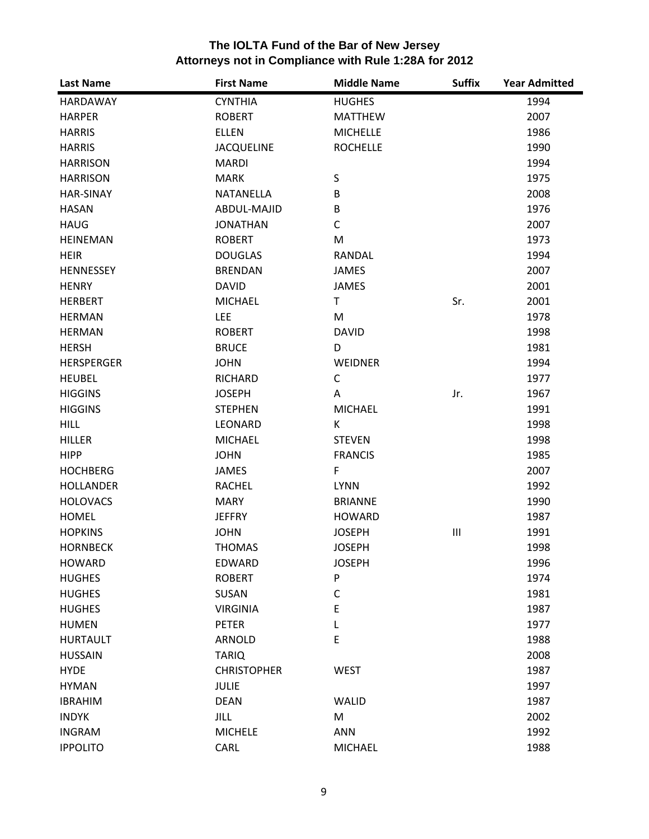| The IOLTA Fund of the Bar of New Jersey              |
|------------------------------------------------------|
| Attorneys not in Compliance with Rule 1:28A for 2012 |

| <b>Last Name</b>  | <b>First Name</b>  | <b>Middle Name</b> | <b>Suffix</b>                      | <b>Year Admitted</b> |
|-------------------|--------------------|--------------------|------------------------------------|----------------------|
| HARDAWAY          | <b>CYNTHIA</b>     | <b>HUGHES</b>      |                                    | 1994                 |
| <b>HARPER</b>     | <b>ROBERT</b>      | <b>MATTHEW</b>     |                                    | 2007                 |
| <b>HARRIS</b>     | <b>ELLEN</b>       | <b>MICHELLE</b>    |                                    | 1986                 |
| <b>HARRIS</b>     | <b>JACQUELINE</b>  | <b>ROCHELLE</b>    |                                    | 1990                 |
| <b>HARRISON</b>   | <b>MARDI</b>       |                    |                                    | 1994                 |
| <b>HARRISON</b>   | <b>MARK</b>        | S                  |                                    | 1975                 |
| <b>HAR-SINAY</b>  | NATANELLA          | B                  |                                    | 2008                 |
| <b>HASAN</b>      | ABDUL-MAJID        | B                  |                                    | 1976                 |
| <b>HAUG</b>       | <b>JONATHAN</b>    | C                  |                                    | 2007                 |
| <b>HEINEMAN</b>   | <b>ROBERT</b>      | M                  |                                    | 1973                 |
| <b>HEIR</b>       | <b>DOUGLAS</b>     | RANDAL             |                                    | 1994                 |
| HENNESSEY         | <b>BRENDAN</b>     | <b>JAMES</b>       |                                    | 2007                 |
| <b>HENRY</b>      | <b>DAVID</b>       | <b>JAMES</b>       |                                    | 2001                 |
| <b>HERBERT</b>    | <b>MICHAEL</b>     | T                  | Sr.                                | 2001                 |
| <b>HERMAN</b>     | <b>LEE</b>         | M                  |                                    | 1978                 |
| <b>HERMAN</b>     | <b>ROBERT</b>      | <b>DAVID</b>       |                                    | 1998                 |
| <b>HERSH</b>      | <b>BRUCE</b>       | D                  |                                    | 1981                 |
| <b>HERSPERGER</b> | <b>JOHN</b>        | WEIDNER            |                                    | 1994                 |
| <b>HEUBEL</b>     | <b>RICHARD</b>     | $\mathsf{C}$       |                                    | 1977                 |
| <b>HIGGINS</b>    | <b>JOSEPH</b>      | A                  | Jr.                                | 1967                 |
| <b>HIGGINS</b>    | <b>STEPHEN</b>     | <b>MICHAEL</b>     |                                    | 1991                 |
| <b>HILL</b>       | LEONARD            | К                  |                                    | 1998                 |
| <b>HILLER</b>     | <b>MICHAEL</b>     | <b>STEVEN</b>      |                                    | 1998                 |
| <b>HIPP</b>       | <b>JOHN</b>        | <b>FRANCIS</b>     |                                    | 1985                 |
| <b>HOCHBERG</b>   | <b>JAMES</b>       | $\mathsf F$        |                                    | 2007                 |
| <b>HOLLANDER</b>  | <b>RACHEL</b>      | <b>LYNN</b>        |                                    | 1992                 |
| <b>HOLOVACS</b>   | <b>MARY</b>        | <b>BRIANNE</b>     |                                    | 1990                 |
| <b>HOMEL</b>      | <b>JEFFRY</b>      | <b>HOWARD</b>      |                                    | 1987                 |
| <b>HOPKINS</b>    | <b>JOHN</b>        | <b>JOSEPH</b>      | $\ensuremath{\mathsf{III}}\xspace$ | 1991                 |
| <b>HORNBECK</b>   | <b>THOMAS</b>      | <b>JOSEPH</b>      |                                    | 1998                 |
| <b>HOWARD</b>     | EDWARD             | <b>JOSEPH</b>      |                                    | 1996                 |
| <b>HUGHES</b>     | <b>ROBERT</b>      | P                  |                                    | 1974                 |
| <b>HUGHES</b>     | SUSAN              | $\mathsf C$        |                                    | 1981                 |
| <b>HUGHES</b>     | <b>VIRGINIA</b>    | E                  |                                    | 1987                 |
| <b>HUMEN</b>      | <b>PETER</b>       | L                  |                                    | 1977                 |
| <b>HURTAULT</b>   | ARNOLD             | E                  |                                    | 1988                 |
| <b>HUSSAIN</b>    | <b>TARIQ</b>       |                    |                                    | 2008                 |
| <b>HYDE</b>       | <b>CHRISTOPHER</b> | <b>WEST</b>        |                                    | 1987                 |
| <b>HYMAN</b>      | <b>JULIE</b>       |                    |                                    | 1997                 |
| <b>IBRAHIM</b>    | <b>DEAN</b>        | <b>WALID</b>       |                                    | 1987                 |
| <b>INDYK</b>      | <b>JILL</b>        | M                  |                                    | 2002                 |
| <b>INGRAM</b>     | <b>MICHELE</b>     | <b>ANN</b>         |                                    | 1992                 |
| <b>IPPOLITO</b>   | CARL               | <b>MICHAEL</b>     |                                    | 1988                 |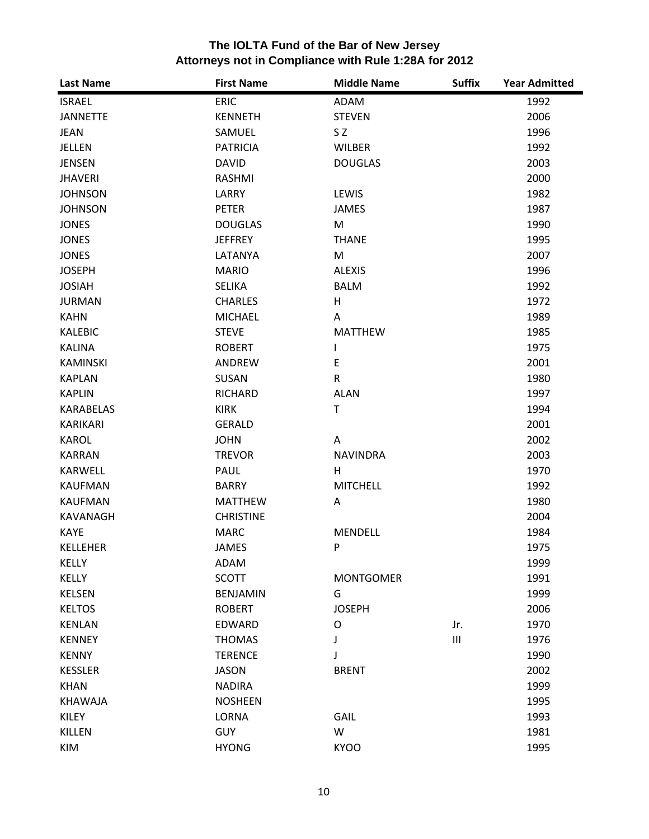| <b>Last Name</b> | <b>First Name</b> | <b>Middle Name</b> | <b>Suffix</b>  | <b>Year Admitted</b> |
|------------------|-------------------|--------------------|----------------|----------------------|
| <b>ISRAEL</b>    | <b>ERIC</b>       | ADAM               |                | 1992                 |
| <b>JANNETTE</b>  | <b>KENNETH</b>    | <b>STEVEN</b>      |                | 2006                 |
| <b>JEAN</b>      | SAMUEL            | S <sub>Z</sub>     |                | 1996                 |
| JELLEN           | <b>PATRICIA</b>   | <b>WILBER</b>      |                | 1992                 |
| <b>JENSEN</b>    | <b>DAVID</b>      | <b>DOUGLAS</b>     |                | 2003                 |
| <b>JHAVERI</b>   | <b>RASHMI</b>     |                    |                | 2000                 |
| <b>JOHNSON</b>   | LARRY             | LEWIS              |                | 1982                 |
| <b>JOHNSON</b>   | <b>PETER</b>      | <b>JAMES</b>       |                | 1987                 |
| <b>JONES</b>     | <b>DOUGLAS</b>    | M                  |                | 1990                 |
| <b>JONES</b>     | <b>JEFFREY</b>    | <b>THANE</b>       |                | 1995                 |
| <b>JONES</b>     | LATANYA           | M                  |                | 2007                 |
| <b>JOSEPH</b>    | <b>MARIO</b>      | <b>ALEXIS</b>      |                | 1996                 |
| <b>JOSIAH</b>    | <b>SELIKA</b>     | <b>BALM</b>        |                | 1992                 |
| <b>JURMAN</b>    | <b>CHARLES</b>    | H                  |                | 1972                 |
| <b>KAHN</b>      | <b>MICHAEL</b>    | Α                  |                | 1989                 |
| <b>KALEBIC</b>   | <b>STEVE</b>      | <b>MATTHEW</b>     |                | 1985                 |
| <b>KALINA</b>    | <b>ROBERT</b>     | I                  |                | 1975                 |
| <b>KAMINSKI</b>  | ANDREW            | E                  |                | 2001                 |
| <b>KAPLAN</b>    | SUSAN             | $\mathsf{R}$       |                | 1980                 |
| <b>KAPLIN</b>    | <b>RICHARD</b>    | <b>ALAN</b>        |                | 1997                 |
| <b>KARABELAS</b> | <b>KIRK</b>       | T                  |                | 1994                 |
| <b>KARIKARI</b>  | <b>GERALD</b>     |                    |                | 2001                 |
| <b>KAROL</b>     | <b>JOHN</b>       | A                  |                | 2002                 |
| <b>KARRAN</b>    | <b>TREVOR</b>     | <b>NAVINDRA</b>    |                | 2003                 |
| <b>KARWELL</b>   | PAUL              | H                  |                | 1970                 |
| <b>KAUFMAN</b>   | <b>BARRY</b>      | <b>MITCHELL</b>    |                | 1992                 |
| <b>KAUFMAN</b>   | <b>MATTHEW</b>    | Α                  |                | 1980                 |
| <b>KAVANAGH</b>  | <b>CHRISTINE</b>  |                    |                | 2004                 |
| <b>KAYE</b>      | <b>MARC</b>       | <b>MENDELL</b>     |                | 1984                 |
| <b>KELLEHER</b>  | <b>JAMES</b>      | P                  |                | 1975                 |
| KELLY            | ADAM              |                    |                | 1999                 |
| KELLY            | <b>SCOTT</b>      | <b>MONTGOMER</b>   |                | 1991                 |
| <b>KELSEN</b>    | <b>BENJAMIN</b>   | G                  |                | 1999                 |
| <b>KELTOS</b>    | <b>ROBERT</b>     | <b>JOSEPH</b>      |                | 2006                 |
| <b>KENLAN</b>    | <b>EDWARD</b>     | O                  | Jr.            | 1970                 |
| <b>KENNEY</b>    | <b>THOMAS</b>     | J                  | $\mathsf{III}$ | 1976                 |
| <b>KENNY</b>     | <b>TERENCE</b>    |                    |                | 1990                 |
| <b>KESSLER</b>   | <b>JASON</b>      | <b>BRENT</b>       |                | 2002                 |
| <b>KHAN</b>      | <b>NADIRA</b>     |                    |                | 1999                 |
| <b>KHAWAJA</b>   | <b>NOSHEEN</b>    |                    |                | 1995                 |
| KILEY            | <b>LORNA</b>      | GAIL               |                | 1993                 |
| <b>KILLEN</b>    | <b>GUY</b>        | W                  |                | 1981                 |
| KIM              | <b>HYONG</b>      | <b>KYOO</b>        |                | 1995                 |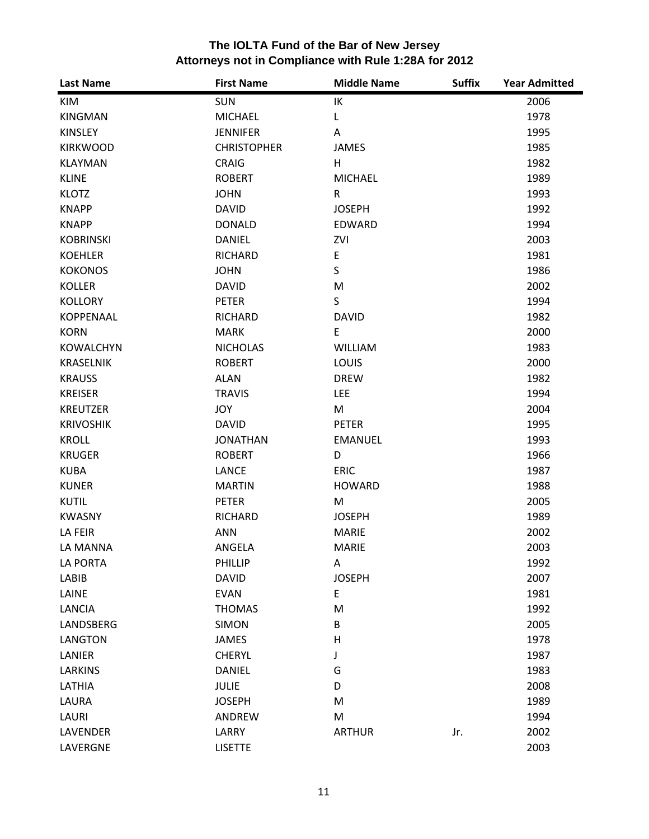| The IOLTA Fund of the Bar of New Jersey              |
|------------------------------------------------------|
| Attorneys not in Compliance with Rule 1:28A for 2012 |

| <b>Last Name</b> | <b>First Name</b>  | <b>Middle Name</b> | <b>Suffix</b> | <b>Year Admitted</b> |
|------------------|--------------------|--------------------|---------------|----------------------|
| KIM              | <b>SUN</b>         | IK                 |               | 2006                 |
| <b>KINGMAN</b>   | <b>MICHAEL</b>     | L                  |               | 1978                 |
| <b>KINSLEY</b>   | <b>JENNIFER</b>    | A                  |               | 1995                 |
| <b>KIRKWOOD</b>  | <b>CHRISTOPHER</b> | <b>JAMES</b>       |               | 1985                 |
| <b>KLAYMAN</b>   | <b>CRAIG</b>       | H                  |               | 1982                 |
| <b>KLINE</b>     | <b>ROBERT</b>      | <b>MICHAEL</b>     |               | 1989                 |
| <b>KLOTZ</b>     | <b>JOHN</b>        | R                  |               | 1993                 |
| <b>KNAPP</b>     | <b>DAVID</b>       | <b>JOSEPH</b>      |               | 1992                 |
| <b>KNAPP</b>     | <b>DONALD</b>      | <b>EDWARD</b>      |               | 1994                 |
| <b>KOBRINSKI</b> | DANIEL             | ZVI                |               | 2003                 |
| <b>KOEHLER</b>   | <b>RICHARD</b>     | E                  |               | 1981                 |
| <b>KOKONOS</b>   | <b>JOHN</b>        | S                  |               | 1986                 |
| <b>KOLLER</b>    | <b>DAVID</b>       | M                  |               | 2002                 |
| <b>KOLLORY</b>   | <b>PETER</b>       | S                  |               | 1994                 |
| KOPPENAAL        | <b>RICHARD</b>     | <b>DAVID</b>       |               | 1982                 |
| <b>KORN</b>      | <b>MARK</b>        | E                  |               | 2000                 |
| <b>KOWALCHYN</b> | <b>NICHOLAS</b>    | <b>WILLIAM</b>     |               | 1983                 |
| KRASELNIK        | <b>ROBERT</b>      | LOUIS              |               | 2000                 |
| <b>KRAUSS</b>    | <b>ALAN</b>        | <b>DREW</b>        |               | 1982                 |
| <b>KREISER</b>   | <b>TRAVIS</b>      | <b>LEE</b>         |               | 1994                 |
| <b>KREUTZER</b>  | JOY                | M                  |               | 2004                 |
| <b>KRIVOSHIK</b> | <b>DAVID</b>       | <b>PETER</b>       |               | 1995                 |
| <b>KROLL</b>     | <b>JONATHAN</b>    | <b>EMANUEL</b>     |               | 1993                 |
| <b>KRUGER</b>    | <b>ROBERT</b>      | D                  |               | 1966                 |
| <b>KUBA</b>      | <b>LANCE</b>       | <b>ERIC</b>        |               | 1987                 |
| <b>KUNER</b>     | <b>MARTIN</b>      | <b>HOWARD</b>      |               | 1988                 |
| <b>KUTIL</b>     | <b>PETER</b>       | M                  |               | 2005                 |
| <b>KWASNY</b>    | <b>RICHARD</b>     | <b>JOSEPH</b>      |               | 1989                 |
| LA FEIR          | <b>ANN</b>         | <b>MARIE</b>       |               | 2002                 |
| LA MANNA         | ANGELA             | <b>MARIE</b>       |               | 2003                 |
| LA PORTA         | PHILLIP            | Α                  |               | 1992                 |
| LABIB            | <b>DAVID</b>       | <b>JOSEPH</b>      |               | 2007                 |
| LAINE            | <b>EVAN</b>        | E                  |               | 1981                 |
| LANCIA           | <b>THOMAS</b>      | M                  |               | 1992                 |
| <b>LANDSBERG</b> | <b>SIMON</b>       | B                  |               | 2005                 |
| <b>LANGTON</b>   | JAMES              | Н                  |               | 1978                 |
| LANIER           | <b>CHERYL</b>      | J                  |               | 1987                 |
| <b>LARKINS</b>   | <b>DANIEL</b>      | G                  |               | 1983                 |
| LATHIA           | <b>JULIE</b>       | D                  |               | 2008                 |
| LAURA            | <b>JOSEPH</b>      | M                  |               | 1989                 |
| LAURI            | ANDREW             | M                  |               | 1994                 |
| LAVENDER         | LARRY              | <b>ARTHUR</b>      | Jr.           | 2002                 |
| LAVERGNE         | <b>LISETTE</b>     |                    |               | 2003                 |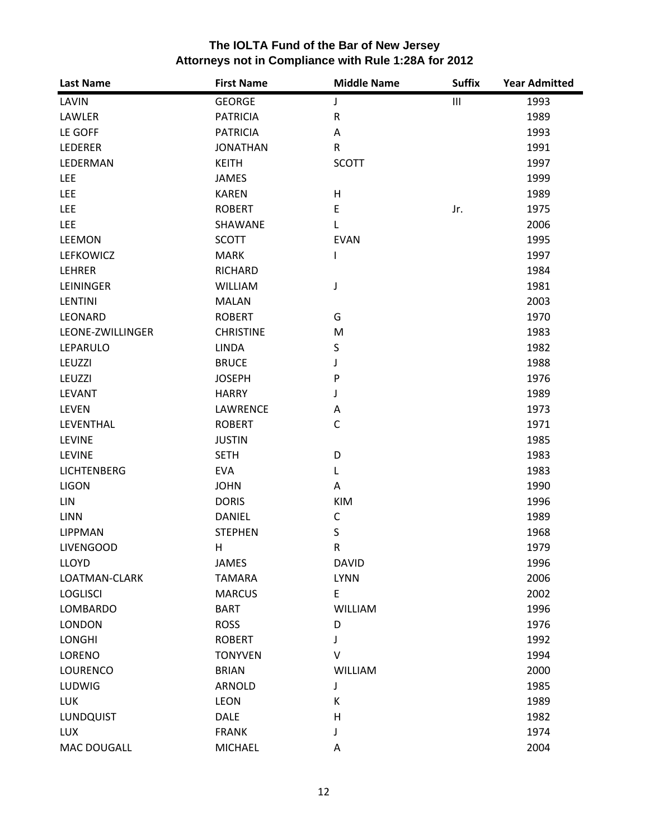| <b>Last Name</b>   | <b>First Name</b> | <b>Middle Name</b> | <b>Suffix</b>                      | <b>Year Admitted</b> |
|--------------------|-------------------|--------------------|------------------------------------|----------------------|
| LAVIN              | <b>GEORGE</b>     | J                  | $\ensuremath{\mathsf{III}}\xspace$ | 1993                 |
| LAWLER             | <b>PATRICIA</b>   | ${\sf R}$          |                                    | 1989                 |
| LE GOFF            | <b>PATRICIA</b>   | Α                  |                                    | 1993                 |
| LEDERER            | <b>JONATHAN</b>   | $\mathsf{R}$       |                                    | 1991                 |
| LEDERMAN           | <b>KEITH</b>      | <b>SCOTT</b>       |                                    | 1997                 |
| <b>LEE</b>         | <b>JAMES</b>      |                    |                                    | 1999                 |
| <b>LEE</b>         | <b>KAREN</b>      | H                  |                                    | 1989                 |
| <b>LEE</b>         | <b>ROBERT</b>     | E                  | Jr.                                | 1975                 |
| <b>LEE</b>         | SHAWANE           | L                  |                                    | 2006                 |
| <b>LEEMON</b>      | <b>SCOTT</b>      | <b>EVAN</b>        |                                    | 1995                 |
| LEFKOWICZ          | <b>MARK</b>       | I                  |                                    | 1997                 |
| LEHRER             | <b>RICHARD</b>    |                    |                                    | 1984                 |
| LEININGER          | <b>WILLIAM</b>    | J                  |                                    | 1981                 |
| <b>LENTINI</b>     | <b>MALAN</b>      |                    |                                    | 2003                 |
| LEONARD            | <b>ROBERT</b>     | G                  |                                    | 1970                 |
| LEONE-ZWILLINGER   | <b>CHRISTINE</b>  | M                  |                                    | 1983                 |
| LEPARULO           | <b>LINDA</b>      | S                  |                                    | 1982                 |
| LEUZZI             | <b>BRUCE</b>      | J                  |                                    | 1988                 |
| LEUZZI             | <b>JOSEPH</b>     | P                  |                                    | 1976                 |
| LEVANT             | <b>HARRY</b>      | J                  |                                    | 1989                 |
| <b>LEVEN</b>       | LAWRENCE          | Α                  |                                    | 1973                 |
| LEVENTHAL          | <b>ROBERT</b>     | $\mathsf{C}$       |                                    | 1971                 |
| <b>LEVINE</b>      | <b>JUSTIN</b>     |                    |                                    | 1985                 |
| <b>LEVINE</b>      | <b>SETH</b>       | D                  |                                    | 1983                 |
| <b>LICHTENBERG</b> | <b>EVA</b>        | L                  |                                    | 1983                 |
| <b>LIGON</b>       | <b>JOHN</b>       | A                  |                                    | 1990                 |
| <b>LIN</b>         | <b>DORIS</b>      | <b>KIM</b>         |                                    | 1996                 |
| LINN               | <b>DANIEL</b>     | C                  |                                    | 1989                 |
| <b>LIPPMAN</b>     | <b>STEPHEN</b>    | S                  |                                    | 1968                 |
| <b>LIVENGOOD</b>   | Н                 | R                  |                                    | 1979                 |
| <b>LLOYD</b>       | <b>JAMES</b>      | <b>DAVID</b>       |                                    | 1996                 |
| LOATMAN-CLARK      | <b>TAMARA</b>     | <b>LYNN</b>        |                                    | 2006                 |
| <b>LOGLISCI</b>    | <b>MARCUS</b>     | E                  |                                    | 2002                 |
| <b>LOMBARDO</b>    | <b>BART</b>       | <b>WILLIAM</b>     |                                    | 1996                 |
| <b>LONDON</b>      | <b>ROSS</b>       | D                  |                                    | 1976                 |
| <b>LONGHI</b>      | <b>ROBERT</b>     | J                  |                                    | 1992                 |
| LORENO             | <b>TONYVEN</b>    | v                  |                                    | 1994                 |
| <b>LOURENCO</b>    | <b>BRIAN</b>      | <b>WILLIAM</b>     |                                    | 2000                 |
| LUDWIG             | <b>ARNOLD</b>     | J                  |                                    | 1985                 |
| <b>LUK</b>         | <b>LEON</b>       | К                  |                                    | 1989                 |
| LUNDQUIST          | DALE              | Η                  |                                    | 1982                 |
| <b>LUX</b>         | <b>FRANK</b>      | J                  |                                    | 1974                 |
| MAC DOUGALL        | <b>MICHAEL</b>    | Α                  |                                    | 2004                 |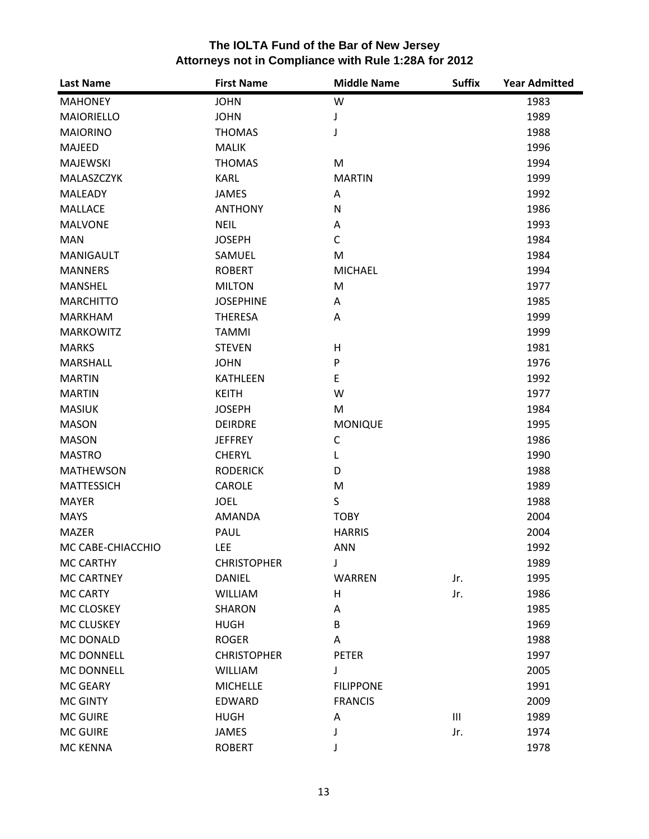| <b>Last Name</b>  | <b>First Name</b>  | <b>Middle Name</b> | <b>Suffix</b>  | <b>Year Admitted</b> |
|-------------------|--------------------|--------------------|----------------|----------------------|
| <b>MAHONEY</b>    | <b>JOHN</b>        | W                  |                | 1983                 |
| <b>MAIORIELLO</b> | <b>JOHN</b>        | J                  |                | 1989                 |
| <b>MAIORINO</b>   | <b>THOMAS</b>      | J                  |                | 1988                 |
| MAJEED            | <b>MALIK</b>       |                    |                | 1996                 |
| <b>MAJEWSKI</b>   | <b>THOMAS</b>      | M                  |                | 1994                 |
| MALASZCZYK        | <b>KARL</b>        | <b>MARTIN</b>      |                | 1999                 |
| <b>MALEADY</b>    | <b>JAMES</b>       | Α                  |                | 1992                 |
| <b>MALLACE</b>    | <b>ANTHONY</b>     | N                  |                | 1986                 |
| <b>MALVONE</b>    | <b>NEIL</b>        | Α                  |                | 1993                 |
| <b>MAN</b>        | <b>JOSEPH</b>      | $\mathsf{C}$       |                | 1984                 |
| <b>MANIGAULT</b>  | SAMUEL             | M                  |                | 1984                 |
| <b>MANNERS</b>    | <b>ROBERT</b>      | <b>MICHAEL</b>     |                | 1994                 |
| <b>MANSHEL</b>    | <b>MILTON</b>      | M                  |                | 1977                 |
| <b>MARCHITTO</b>  | <b>JOSEPHINE</b>   | Α                  |                | 1985                 |
| <b>MARKHAM</b>    | <b>THERESA</b>     | Α                  |                | 1999                 |
| <b>MARKOWITZ</b>  | <b>TAMMI</b>       |                    |                | 1999                 |
| <b>MARKS</b>      | <b>STEVEN</b>      | н                  |                | 1981                 |
| <b>MARSHALL</b>   | <b>JOHN</b>        | P                  |                | 1976                 |
| <b>MARTIN</b>     | <b>KATHLEEN</b>    | E                  |                | 1992                 |
| <b>MARTIN</b>     | <b>KEITH</b>       | W                  |                | 1977                 |
| <b>MASIUK</b>     | <b>JOSEPH</b>      | M                  |                | 1984                 |
| <b>MASON</b>      | <b>DEIRDRE</b>     | <b>MONIQUE</b>     |                | 1995                 |
| <b>MASON</b>      | <b>JEFFREY</b>     | C                  |                | 1986                 |
| <b>MASTRO</b>     | <b>CHERYL</b>      | L                  |                | 1990                 |
| <b>MATHEWSON</b>  | <b>RODERICK</b>    | D                  |                | 1988                 |
| <b>MATTESSICH</b> | <b>CAROLE</b>      | M                  |                | 1989                 |
| <b>MAYER</b>      | <b>JOEL</b>        | S                  |                | 1988                 |
| <b>MAYS</b>       | <b>AMANDA</b>      | <b>TOBY</b>        |                | 2004                 |
| <b>MAZER</b>      | PAUL               | <b>HARRIS</b>      |                | 2004                 |
| MC CABE-CHIACCHIO | <b>LEE</b>         | <b>ANN</b>         |                | 1992                 |
| <b>MC CARTHY</b>  | <b>CHRISTOPHER</b> | J                  |                | 1989                 |
| <b>MC CARTNEY</b> | <b>DANIEL</b>      | <b>WARREN</b>      | Jr.            | 1995                 |
| <b>MC CARTY</b>   | <b>WILLIAM</b>     | Η                  | Jr.            | 1986                 |
| MC CLOSKEY        | <b>SHARON</b>      | Α                  |                | 1985                 |
| MC CLUSKEY        | <b>HUGH</b>        | B                  |                | 1969                 |
| <b>MC DONALD</b>  | <b>ROGER</b>       | Α                  |                | 1988                 |
| MC DONNELL        | <b>CHRISTOPHER</b> | <b>PETER</b>       |                | 1997                 |
| <b>MC DONNELL</b> | <b>WILLIAM</b>     | J                  |                | 2005                 |
| <b>MC GEARY</b>   | <b>MICHELLE</b>    | <b>FILIPPONE</b>   |                | 1991                 |
| <b>MC GINTY</b>   | <b>EDWARD</b>      | <b>FRANCIS</b>     |                | 2009                 |
| <b>MC GUIRE</b>   | <b>HUGH</b>        | Α                  | $\mathbf{III}$ | 1989                 |
| <b>MC GUIRE</b>   | JAMES              | J                  | Jr.            | 1974                 |
| MC KENNA          | <b>ROBERT</b>      |                    |                | 1978                 |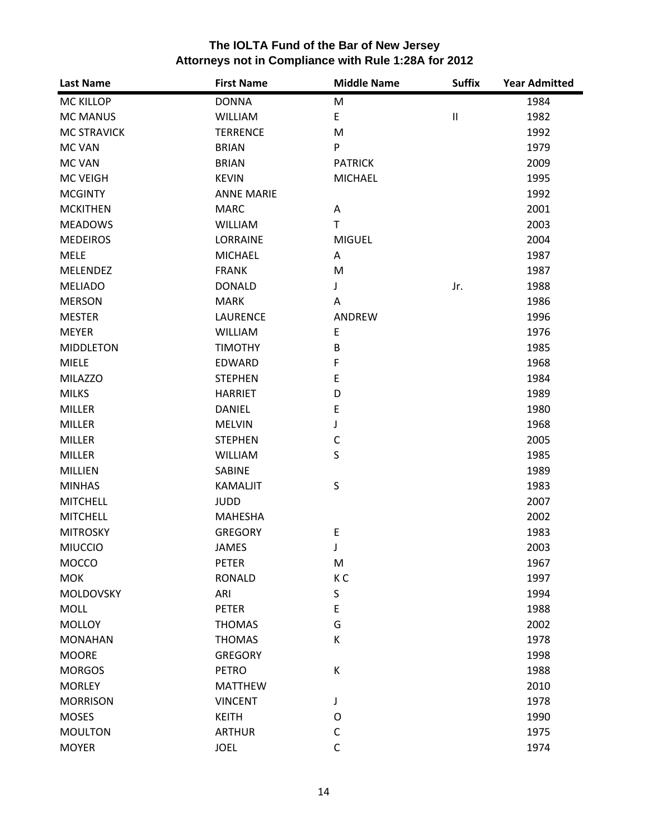| The IOLTA Fund of the Bar of New Jersey              |
|------------------------------------------------------|
| Attorneys not in Compliance with Rule 1:28A for 2012 |

| <b>Last Name</b>   | <b>First Name</b> | <b>Middle Name</b> | <b>Suffix</b>              | <b>Year Admitted</b> |
|--------------------|-------------------|--------------------|----------------------------|----------------------|
| <b>MC KILLOP</b>   | <b>DONNA</b>      | M                  |                            | 1984                 |
| <b>MC MANUS</b>    | <b>WILLIAM</b>    | E                  | $\ensuremath{\mathsf{II}}$ | 1982                 |
| <b>MC STRAVICK</b> | <b>TERRENCE</b>   | M                  |                            | 1992                 |
| <b>MC VAN</b>      | <b>BRIAN</b>      | P                  |                            | 1979                 |
| <b>MC VAN</b>      | <b>BRIAN</b>      | <b>PATRICK</b>     |                            | 2009                 |
| <b>MC VEIGH</b>    | <b>KEVIN</b>      | <b>MICHAEL</b>     |                            | 1995                 |
| <b>MCGINTY</b>     | <b>ANNE MARIE</b> |                    |                            | 1992                 |
| <b>MCKITHEN</b>    | <b>MARC</b>       | Α                  |                            | 2001                 |
| <b>MEADOWS</b>     | <b>WILLIAM</b>    | T.                 |                            | 2003                 |
| <b>MEDEIROS</b>    | LORRAINE          | <b>MIGUEL</b>      |                            | 2004                 |
| <b>MELE</b>        | <b>MICHAEL</b>    | Α                  |                            | 1987                 |
| <b>MELENDEZ</b>    | <b>FRANK</b>      | M                  |                            | 1987                 |
| <b>MELIADO</b>     | <b>DONALD</b>     | J                  | Jr.                        | 1988                 |
| <b>MERSON</b>      | <b>MARK</b>       | Α                  |                            | 1986                 |
| <b>MESTER</b>      | <b>LAURENCE</b>   | ANDREW             |                            | 1996                 |
| <b>MEYER</b>       | <b>WILLIAM</b>    | E                  |                            | 1976                 |
| <b>MIDDLETON</b>   | <b>TIMOTHY</b>    | B                  |                            | 1985                 |
| <b>MIELE</b>       | EDWARD            | F                  |                            | 1968                 |
| <b>MILAZZO</b>     | <b>STEPHEN</b>    | E                  |                            | 1984                 |
| <b>MILKS</b>       | <b>HARRIET</b>    | D                  |                            | 1989                 |
| <b>MILLER</b>      | <b>DANIEL</b>     | E                  |                            | 1980                 |
| <b>MILLER</b>      | <b>MELVIN</b>     | J                  |                            | 1968                 |
| <b>MILLER</b>      | <b>STEPHEN</b>    | $\mathsf C$        |                            | 2005                 |
| <b>MILLER</b>      | <b>WILLIAM</b>    | S                  |                            | 1985                 |
| <b>MILLIEN</b>     | SABINE            |                    |                            | 1989                 |
| <b>MINHAS</b>      | <b>KAMALJIT</b>   | S                  |                            | 1983                 |
| <b>MITCHELL</b>    | <b>JUDD</b>       |                    |                            | 2007                 |
| <b>MITCHELL</b>    | <b>MAHESHA</b>    |                    |                            | 2002                 |
| <b>MITROSKY</b>    | <b>GREGORY</b>    | E                  |                            | 1983                 |
| <b>MIUCCIO</b>     | <b>JAMES</b>      | J                  |                            | 2003                 |
| <b>MOCCO</b>       | <b>PETER</b>      | M                  |                            | 1967                 |
| <b>MOK</b>         | <b>RONALD</b>     | K <sub>C</sub>     |                            | 1997                 |
| <b>MOLDOVSKY</b>   | ARI               | S                  |                            | 1994                 |
| <b>MOLL</b>        | <b>PETER</b>      | E                  |                            | 1988                 |
| <b>MOLLOY</b>      | <b>THOMAS</b>     | G                  |                            | 2002                 |
| <b>MONAHAN</b>     | <b>THOMAS</b>     | К                  |                            | 1978                 |
| <b>MOORE</b>       | <b>GREGORY</b>    |                    |                            | 1998                 |
| <b>MORGOS</b>      | <b>PETRO</b>      | К                  |                            | 1988                 |
| <b>MORLEY</b>      | <b>MATTHEW</b>    |                    |                            | 2010                 |
| <b>MORRISON</b>    | <b>VINCENT</b>    | J                  |                            | 1978                 |
| <b>MOSES</b>       | <b>KEITH</b>      | O                  |                            | 1990                 |
| <b>MOULTON</b>     | <b>ARTHUR</b>     | C                  |                            | 1975                 |
| <b>MOYER</b>       | <b>JOEL</b>       | $\mathsf C$        |                            | 1974                 |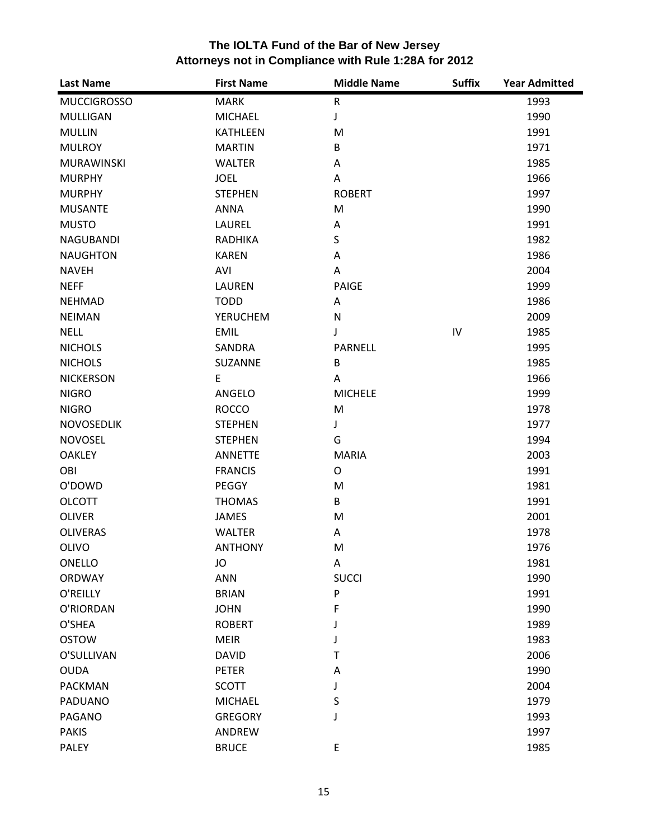| <b>Last Name</b>   | <b>First Name</b> | <b>Middle Name</b> | <b>Suffix</b> | <b>Year Admitted</b> |
|--------------------|-------------------|--------------------|---------------|----------------------|
| <b>MUCCIGROSSO</b> | <b>MARK</b>       | ${\sf R}$          |               | 1993                 |
| <b>MULLIGAN</b>    | <b>MICHAEL</b>    | J                  |               | 1990                 |
| <b>MULLIN</b>      | <b>KATHLEEN</b>   | M                  |               | 1991                 |
| <b>MULROY</b>      | <b>MARTIN</b>     | B                  |               | 1971                 |
| <b>MURAWINSKI</b>  | <b>WALTER</b>     | Α                  |               | 1985                 |
| <b>MURPHY</b>      | <b>JOEL</b>       | Α                  |               | 1966                 |
| <b>MURPHY</b>      | <b>STEPHEN</b>    | <b>ROBERT</b>      |               | 1997                 |
| <b>MUSANTE</b>     | <b>ANNA</b>       | M                  |               | 1990                 |
| <b>MUSTO</b>       | LAUREL            | Α                  |               | 1991                 |
| <b>NAGUBANDI</b>   | <b>RADHIKA</b>    | S                  |               | 1982                 |
| <b>NAUGHTON</b>    | <b>KAREN</b>      | Α                  |               | 1986                 |
| <b>NAVEH</b>       | AVI               | Α                  |               | 2004                 |
| <b>NEFF</b>        | <b>LAUREN</b>     | PAIGE              |               | 1999                 |
| <b>NEHMAD</b>      | <b>TODD</b>       | Α                  |               | 1986                 |
| <b>NEIMAN</b>      | <b>YERUCHEM</b>   | ${\sf N}$          |               | 2009                 |
| <b>NELL</b>        | <b>EMIL</b>       | J                  | IV            | 1985                 |
| <b>NICHOLS</b>     | SANDRA            | <b>PARNELL</b>     |               | 1995                 |
| <b>NICHOLS</b>     | SUZANNE           | B                  |               | 1985                 |
| <b>NICKERSON</b>   | E                 | A                  |               | 1966                 |
| <b>NIGRO</b>       | ANGELO            | <b>MICHELE</b>     |               | 1999                 |
| <b>NIGRO</b>       | <b>ROCCO</b>      | M                  |               | 1978                 |
| <b>NOVOSEDLIK</b>  | <b>STEPHEN</b>    | J                  |               | 1977                 |
| <b>NOVOSEL</b>     | <b>STEPHEN</b>    | G                  |               | 1994                 |
| <b>OAKLEY</b>      | <b>ANNETTE</b>    | <b>MARIA</b>       |               | 2003                 |
| OBI                | <b>FRANCIS</b>    | O                  |               | 1991                 |
| O'DOWD             | PEGGY             | M                  |               | 1981                 |
| <b>OLCOTT</b>      | <b>THOMAS</b>     | B                  |               | 1991                 |
| <b>OLIVER</b>      | <b>JAMES</b>      | M                  |               | 2001                 |
| <b>OLIVERAS</b>    | <b>WALTER</b>     | Α                  |               | 1978                 |
| <b>OLIVO</b>       | <b>ANTHONY</b>    | M                  |               | 1976                 |
| ONELLO             | JO                | Α                  |               | 1981                 |
| <b>ORDWAY</b>      | <b>ANN</b>        | <b>SUCCI</b>       |               | 1990                 |
| O'REILLY           | <b>BRIAN</b>      | P                  |               | 1991                 |
| O'RIORDAN          | <b>JOHN</b>       | F                  |               | 1990                 |
| O'SHEA             | <b>ROBERT</b>     |                    |               | 1989                 |
| <b>OSTOW</b>       | <b>MEIR</b>       |                    |               | 1983                 |
| O'SULLIVAN         | <b>DAVID</b>      | Т                  |               | 2006                 |
| <b>OUDA</b>        | <b>PETER</b>      | Α                  |               | 1990                 |
| <b>PACKMAN</b>     | <b>SCOTT</b>      | J                  |               | 2004                 |
| PADUANO            | <b>MICHAEL</b>    | S                  |               | 1979                 |
| PAGANO             | <b>GREGORY</b>    | J                  |               | 1993                 |
| <b>PAKIS</b>       | ANDREW            |                    |               | 1997                 |
| <b>PALEY</b>       | <b>BRUCE</b>      | E                  |               | 1985                 |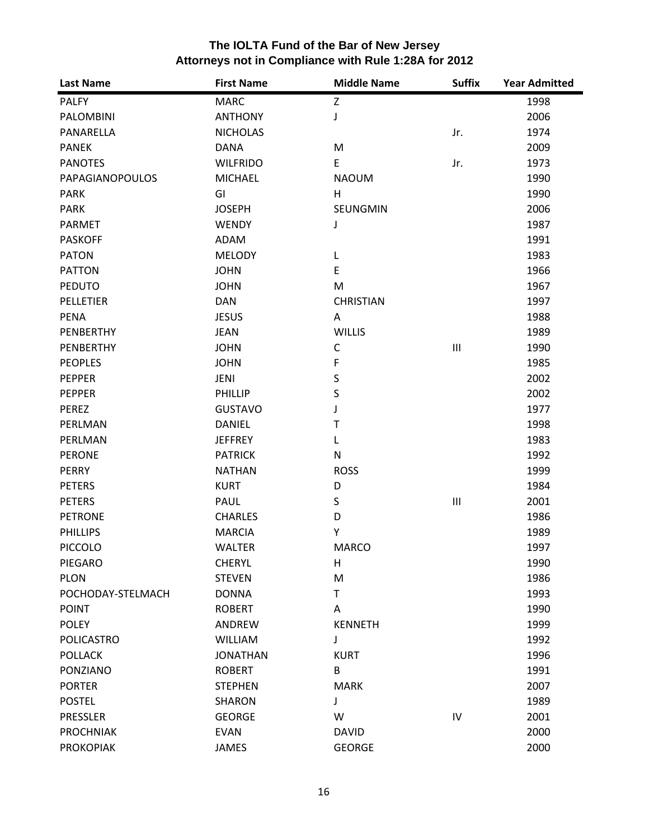| <b>Last Name</b>  | <b>First Name</b> | <b>Middle Name</b> | <b>Suffix</b>  | <b>Year Admitted</b> |
|-------------------|-------------------|--------------------|----------------|----------------------|
| <b>PALFY</b>      | <b>MARC</b>       | Z                  |                | 1998                 |
| PALOMBINI         | <b>ANTHONY</b>    | J                  |                | 2006                 |
| PANARELLA         | <b>NICHOLAS</b>   |                    | Jr.            | 1974                 |
| <b>PANEK</b>      | <b>DANA</b>       | M                  |                | 2009                 |
| <b>PANOTES</b>    | <b>WILFRIDO</b>   | E                  | Jr.            | 1973                 |
| PAPAGIANOPOULOS   | <b>MICHAEL</b>    | <b>NAOUM</b>       |                | 1990                 |
| <b>PARK</b>       | GI                | H                  |                | 1990                 |
| <b>PARK</b>       | <b>JOSEPH</b>     | SEUNGMIN           |                | 2006                 |
| <b>PARMET</b>     | <b>WENDY</b>      | J                  |                | 1987                 |
| <b>PASKOFF</b>    | ADAM              |                    |                | 1991                 |
| <b>PATON</b>      | <b>MELODY</b>     | L                  |                | 1983                 |
| <b>PATTON</b>     | <b>JOHN</b>       | E                  |                | 1966                 |
| <b>PEDUTO</b>     | <b>JOHN</b>       | M                  |                | 1967                 |
| PELLETIER         | <b>DAN</b>        | <b>CHRISTIAN</b>   |                | 1997                 |
| <b>PENA</b>       | <b>JESUS</b>      | A                  |                | 1988                 |
| PENBERTHY         | <b>JEAN</b>       | <b>WILLIS</b>      |                | 1989                 |
| PENBERTHY         | <b>JOHN</b>       | C                  | $\mathbf{III}$ | 1990                 |
| <b>PEOPLES</b>    | <b>JOHN</b>       | F                  |                | 1985                 |
| PEPPER            | JENI              | $\sf S$            |                | 2002                 |
| <b>PEPPER</b>     | PHILLIP           | S                  |                | 2002                 |
| PEREZ             | <b>GUSTAVO</b>    | J                  |                | 1977                 |
| PERLMAN           | <b>DANIEL</b>     | Т                  |                | 1998                 |
| PERLMAN           | <b>JEFFREY</b>    | L                  |                | 1983                 |
| <b>PERONE</b>     | <b>PATRICK</b>    | N                  |                | 1992                 |
| <b>PERRY</b>      | <b>NATHAN</b>     | <b>ROSS</b>        |                | 1999                 |
| <b>PETERS</b>     | <b>KURT</b>       | D                  |                | 1984                 |
| <b>PETERS</b>     | PAUL              | S                  | $\mathbf{III}$ | 2001                 |
| <b>PETRONE</b>    | <b>CHARLES</b>    | D                  |                | 1986                 |
| <b>PHILLIPS</b>   | <b>MARCIA</b>     | Y                  |                | 1989                 |
| <b>PICCOLO</b>    | <b>WALTER</b>     | <b>MARCO</b>       |                | 1997                 |
| PIEGARO           | <b>CHERYL</b>     | H                  |                | 1990                 |
| <b>PLON</b>       | <b>STEVEN</b>     | M                  |                | 1986                 |
| POCHODAY-STELMACH | <b>DONNA</b>      | T                  |                | 1993                 |
| <b>POINT</b>      | <b>ROBERT</b>     | A                  |                | 1990                 |
| <b>POLEY</b>      | <b>ANDREW</b>     | <b>KENNETH</b>     |                | 1999                 |
| <b>POLICASTRO</b> | <b>WILLIAM</b>    | J                  |                | 1992                 |
| <b>POLLACK</b>    | <b>JONATHAN</b>   | <b>KURT</b>        |                | 1996                 |
| PONZIANO          | <b>ROBERT</b>     | B                  |                | 1991                 |
| <b>PORTER</b>     | <b>STEPHEN</b>    | <b>MARK</b>        |                | 2007                 |
| <b>POSTEL</b>     | SHARON            | J                  |                | 1989                 |
| <b>PRESSLER</b>   | <b>GEORGE</b>     | W                  | IV             | 2001                 |
| <b>PROCHNIAK</b>  | <b>EVAN</b>       | <b>DAVID</b>       |                | 2000                 |
| <b>PROKOPIAK</b>  | <b>JAMES</b>      | <b>GEORGE</b>      |                | 2000                 |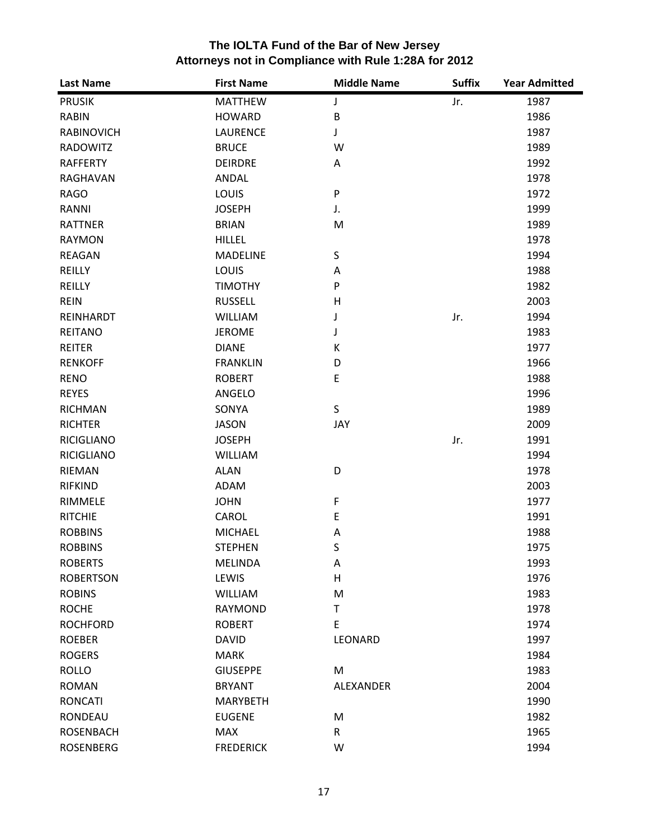| <b>Last Name</b>  | <b>First Name</b> | <b>Middle Name</b> | <b>Suffix</b> | <b>Year Admitted</b> |
|-------------------|-------------------|--------------------|---------------|----------------------|
| <b>PRUSIK</b>     | <b>MATTHEW</b>    | J                  | Jr.           | 1987                 |
| <b>RABIN</b>      | <b>HOWARD</b>     | B                  |               | 1986                 |
| <b>RABINOVICH</b> | <b>LAURENCE</b>   | J                  |               | 1987                 |
| <b>RADOWITZ</b>   | <b>BRUCE</b>      | W                  |               | 1989                 |
| <b>RAFFERTY</b>   | <b>DEIRDRE</b>    | Α                  |               | 1992                 |
| RAGHAVAN          | ANDAL             |                    |               | 1978                 |
| <b>RAGO</b>       | <b>LOUIS</b>      | P                  |               | 1972                 |
| RANNI             | <b>JOSEPH</b>     | J.                 |               | 1999                 |
| <b>RATTNER</b>    | <b>BRIAN</b>      | M                  |               | 1989                 |
| <b>RAYMON</b>     | <b>HILLEL</b>     |                    |               | 1978                 |
| <b>REAGAN</b>     | <b>MADELINE</b>   | S                  |               | 1994                 |
| REILLY            | <b>LOUIS</b>      | Α                  |               | 1988                 |
| <b>REILLY</b>     | <b>TIMOTHY</b>    | P                  |               | 1982                 |
| <b>REIN</b>       | <b>RUSSELL</b>    | Н                  |               | 2003                 |
| REINHARDT         | <b>WILLIAM</b>    | J                  | Jr.           | 1994                 |
| <b>REITANO</b>    | <b>JEROME</b>     | J                  |               | 1983                 |
| <b>REITER</b>     | <b>DIANE</b>      | К                  |               | 1977                 |
| <b>RENKOFF</b>    | <b>FRANKLIN</b>   | D                  |               | 1966                 |
| <b>RENO</b>       | <b>ROBERT</b>     | E                  |               | 1988                 |
| <b>REYES</b>      | ANGELO            |                    |               | 1996                 |
| <b>RICHMAN</b>    | SONYA             | S                  |               | 1989                 |
| <b>RICHTER</b>    | <b>JASON</b>      | JAY                |               | 2009                 |
| <b>RICIGLIANO</b> | <b>JOSEPH</b>     |                    | Jr.           | 1991                 |
| <b>RICIGLIANO</b> | WILLIAM           |                    |               | 1994                 |
| RIEMAN            | <b>ALAN</b>       | D                  |               | 1978                 |
| <b>RIFKIND</b>    | ADAM              |                    |               | 2003                 |
| RIMMELE           | <b>JOHN</b>       | F                  |               | 1977                 |
| <b>RITCHIE</b>    | CAROL             | E                  |               | 1991                 |
| <b>ROBBINS</b>    | <b>MICHAEL</b>    | A                  |               | 1988                 |
| <b>ROBBINS</b>    | <b>STEPHEN</b>    | S                  |               | 1975                 |
| <b>ROBERTS</b>    | <b>MELINDA</b>    | Α                  |               | 1993                 |
| <b>ROBERTSON</b>  | LEWIS             | Н                  |               | 1976                 |
| <b>ROBINS</b>     | <b>WILLIAM</b>    | M                  |               | 1983                 |
| <b>ROCHE</b>      | <b>RAYMOND</b>    | $\mathsf T$        |               | 1978                 |
| <b>ROCHFORD</b>   | <b>ROBERT</b>     | E                  |               | 1974                 |
| <b>ROEBER</b>     | <b>DAVID</b>      | LEONARD            |               | 1997                 |
| <b>ROGERS</b>     | <b>MARK</b>       |                    |               | 1984                 |
| <b>ROLLO</b>      | <b>GIUSEPPE</b>   | M                  |               | 1983                 |
| <b>ROMAN</b>      | <b>BRYANT</b>     | ALEXANDER          |               | 2004                 |
| <b>RONCATI</b>    | <b>MARYBETH</b>   |                    |               | 1990                 |
| RONDEAU           | <b>EUGENE</b>     | M                  |               | 1982                 |
| <b>ROSENBACH</b>  | <b>MAX</b>        | $\mathsf{R}$       |               | 1965                 |
| <b>ROSENBERG</b>  | <b>FREDERICK</b>  | W                  |               | 1994                 |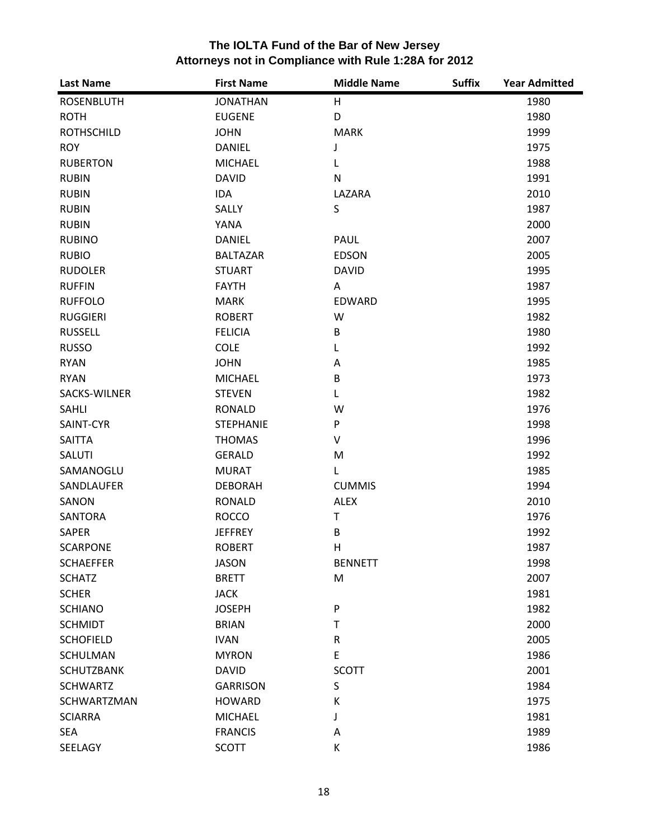| <b>Last Name</b>  | <b>First Name</b> | <b>Middle Name</b> | <b>Suffix</b> | <b>Year Admitted</b> |
|-------------------|-------------------|--------------------|---------------|----------------------|
| <b>ROSENBLUTH</b> | <b>JONATHAN</b>   | H                  |               | 1980                 |
| <b>ROTH</b>       | <b>EUGENE</b>     | D                  |               | 1980                 |
| <b>ROTHSCHILD</b> | <b>JOHN</b>       | <b>MARK</b>        |               | 1999                 |
| <b>ROY</b>        | <b>DANIEL</b>     | J                  |               | 1975                 |
| <b>RUBERTON</b>   | <b>MICHAEL</b>    | L                  |               | 1988                 |
| <b>RUBIN</b>      | <b>DAVID</b>      | N                  |               | 1991                 |
| <b>RUBIN</b>      | IDA               | LAZARA             |               | 2010                 |
| <b>RUBIN</b>      | SALLY             | S                  |               | 1987                 |
| <b>RUBIN</b>      | <b>YANA</b>       |                    |               | 2000                 |
| <b>RUBINO</b>     | <b>DANIEL</b>     | <b>PAUL</b>        |               | 2007                 |
| <b>RUBIO</b>      | <b>BALTAZAR</b>   | <b>EDSON</b>       |               | 2005                 |
| <b>RUDOLER</b>    | <b>STUART</b>     | <b>DAVID</b>       |               | 1995                 |
| <b>RUFFIN</b>     | <b>FAYTH</b>      | A                  |               | 1987                 |
| <b>RUFFOLO</b>    | <b>MARK</b>       | EDWARD             |               | 1995                 |
| <b>RUGGIERI</b>   | <b>ROBERT</b>     | W                  |               | 1982                 |
| <b>RUSSELL</b>    | <b>FELICIA</b>    | B                  |               | 1980                 |
| <b>RUSSO</b>      | <b>COLE</b>       | L                  |               | 1992                 |
| <b>RYAN</b>       | <b>JOHN</b>       | Α                  |               | 1985                 |
| <b>RYAN</b>       | <b>MICHAEL</b>    | B                  |               | 1973                 |
| SACKS-WILNER      | <b>STEVEN</b>     | Г                  |               | 1982                 |
| SAHLI             | <b>RONALD</b>     | W                  |               | 1976                 |
| SAINT-CYR         | <b>STEPHANIE</b>  | P                  |               | 1998                 |
| SAITTA            | <b>THOMAS</b>     | V                  |               | 1996                 |
| SALUTI            | <b>GERALD</b>     | M                  |               | 1992                 |
| SAMANOGLU         | <b>MURAT</b>      | L                  |               | 1985                 |
| SANDLAUFER        | <b>DEBORAH</b>    | <b>CUMMIS</b>      |               | 1994                 |
| SANON             | <b>RONALD</b>     | <b>ALEX</b>        |               | 2010                 |
| <b>SANTORA</b>    | <b>ROCCO</b>      | T                  |               | 1976                 |
| SAPER             | <b>JEFFREY</b>    | $\sf B$            |               | 1992                 |
| <b>SCARPONE</b>   | <b>ROBERT</b>     | $\mathsf{H}$       |               | 1987                 |
| <b>SCHAEFFER</b>  | <b>JASON</b>      | <b>BENNETT</b>     |               | 1998                 |
| <b>SCHATZ</b>     | <b>BRETT</b>      | M                  |               | 2007                 |
| <b>SCHER</b>      | <b>JACK</b>       |                    |               | 1981                 |
| <b>SCHIANO</b>    | <b>JOSEPH</b>     | ${\sf P}$          |               | 1982                 |
| <b>SCHMIDT</b>    | <b>BRIAN</b>      | T                  |               | 2000                 |
| <b>SCHOFIELD</b>  | <b>IVAN</b>       | $\mathsf R$        |               | 2005                 |
| <b>SCHULMAN</b>   | <b>MYRON</b>      | E                  |               | 1986                 |
| <b>SCHUTZBANK</b> | <b>DAVID</b>      | <b>SCOTT</b>       |               | 2001                 |
| <b>SCHWARTZ</b>   | <b>GARRISON</b>   | $\sf S$            |               | 1984                 |
| SCHWARTZMAN       | <b>HOWARD</b>     | К                  |               | 1975                 |
| <b>SCIARRA</b>    | <b>MICHAEL</b>    | J                  |               | 1981                 |
| <b>SEA</b>        | <b>FRANCIS</b>    | Α                  |               | 1989                 |
| SEELAGY           | <b>SCOTT</b>      | К                  |               | 1986                 |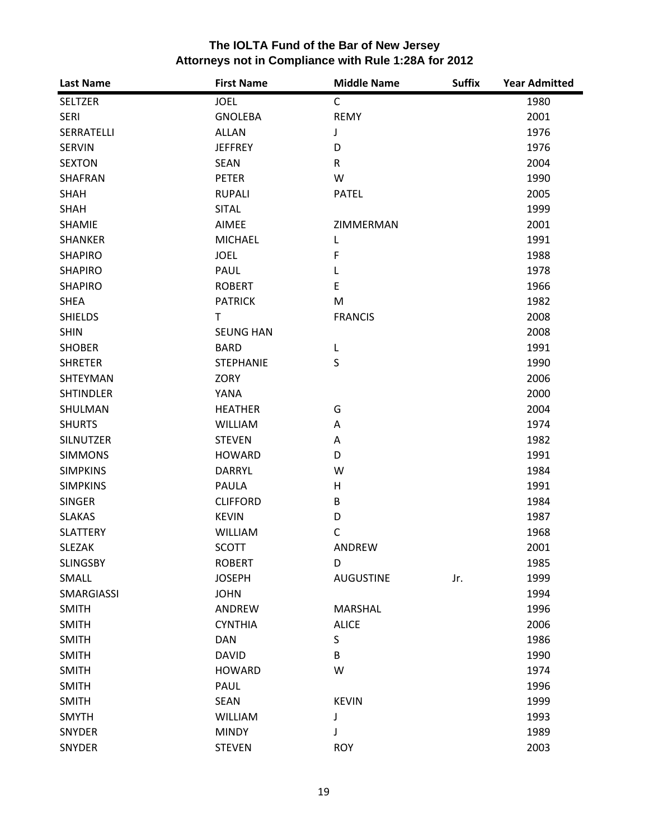| <b>Last Name</b> | <b>First Name</b> | <b>Middle Name</b> | <b>Suffix</b> | <b>Year Admitted</b> |
|------------------|-------------------|--------------------|---------------|----------------------|
| <b>SELTZER</b>   | <b>JOEL</b>       | $\mathsf{C}$       |               | 1980                 |
| <b>SERI</b>      | <b>GNOLEBA</b>    | <b>REMY</b>        |               | 2001                 |
| SERRATELLI       | <b>ALLAN</b>      | J                  |               | 1976                 |
| <b>SERVIN</b>    | <b>JEFFREY</b>    | D                  |               | 1976                 |
| <b>SEXTON</b>    | <b>SEAN</b>       | $\mathsf R$        |               | 2004                 |
| SHAFRAN          | <b>PETER</b>      | W                  |               | 1990                 |
| <b>SHAH</b>      | <b>RUPALI</b>     | <b>PATEL</b>       |               | 2005                 |
| <b>SHAH</b>      | <b>SITAL</b>      |                    |               | 1999                 |
| SHAMIE           | AIMEE             | ZIMMERMAN          |               | 2001                 |
| <b>SHANKER</b>   | <b>MICHAEL</b>    | L                  |               | 1991                 |
| <b>SHAPIRO</b>   | <b>JOEL</b>       | F                  |               | 1988                 |
| <b>SHAPIRO</b>   | PAUL              | L                  |               | 1978                 |
| <b>SHAPIRO</b>   | <b>ROBERT</b>     | E                  |               | 1966                 |
| <b>SHEA</b>      | <b>PATRICK</b>    | M                  |               | 1982                 |
| <b>SHIELDS</b>   | $\mathsf{T}$      | <b>FRANCIS</b>     |               | 2008                 |
| <b>SHIN</b>      | <b>SEUNG HAN</b>  |                    |               | 2008                 |
| <b>SHOBER</b>    | <b>BARD</b>       | L                  |               | 1991                 |
| <b>SHRETER</b>   | <b>STEPHANIE</b>  | S                  |               | 1990                 |
| SHTEYMAN         | ZORY              |                    |               | 2006                 |
| <b>SHTINDLER</b> | YANA              |                    |               | 2000                 |
| SHULMAN          | <b>HEATHER</b>    | G                  |               | 2004                 |
| <b>SHURTS</b>    | <b>WILLIAM</b>    | Α                  |               | 1974                 |
| <b>SILNUTZER</b> | <b>STEVEN</b>     | Α                  |               | 1982                 |
| <b>SIMMONS</b>   | <b>HOWARD</b>     | D                  |               | 1991                 |
| <b>SIMPKINS</b>  | <b>DARRYL</b>     | W                  |               | 1984                 |
| <b>SIMPKINS</b>  | PAULA             | H                  |               | 1991                 |
| <b>SINGER</b>    | <b>CLIFFORD</b>   | B                  |               | 1984                 |
| <b>SLAKAS</b>    | <b>KEVIN</b>      | D                  |               | 1987                 |
| <b>SLATTERY</b>  | <b>WILLIAM</b>    | C                  |               | 1968                 |
| <b>SLEZAK</b>    | <b>SCOTT</b>      | ANDREW             |               | 2001                 |
| <b>SLINGSBY</b>  | <b>ROBERT</b>     | D                  |               | 1985                 |
| SMALL            | <b>JOSEPH</b>     | <b>AUGUSTINE</b>   | Jr.           | 1999                 |
| SMARGIASSI       | <b>JOHN</b>       |                    |               | 1994                 |
| <b>SMITH</b>     | ANDREW            | <b>MARSHAL</b>     |               | 1996                 |
| <b>SMITH</b>     | <b>CYNTHIA</b>    | <b>ALICE</b>       |               | 2006                 |
| <b>SMITH</b>     | <b>DAN</b>        | S                  |               | 1986                 |
| <b>SMITH</b>     | <b>DAVID</b>      | B                  |               | 1990                 |
| <b>SMITH</b>     | <b>HOWARD</b>     | W                  |               | 1974                 |
| <b>SMITH</b>     | PAUL              |                    |               | 1996                 |
| <b>SMITH</b>     | <b>SEAN</b>       | <b>KEVIN</b>       |               | 1999                 |
| <b>SMYTH</b>     | <b>WILLIAM</b>    | J                  |               | 1993                 |
| SNYDER           | <b>MINDY</b>      | J                  |               | 1989                 |
| SNYDER           | <b>STEVEN</b>     | <b>ROY</b>         |               | 2003                 |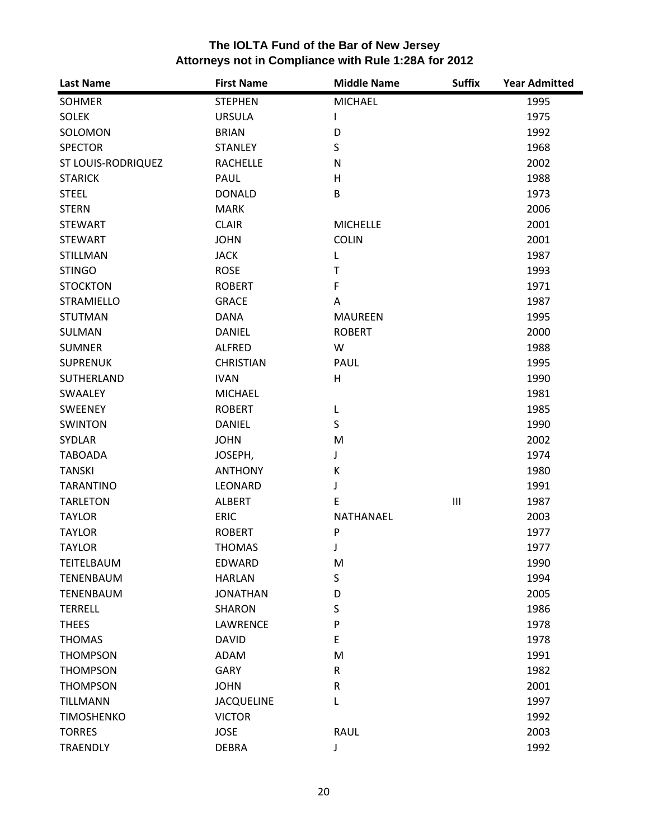| <b>Last Name</b>   | <b>First Name</b> | <b>Middle Name</b> | <b>Suffix</b>                      | <b>Year Admitted</b> |
|--------------------|-------------------|--------------------|------------------------------------|----------------------|
| <b>SOHMER</b>      | <b>STEPHEN</b>    | <b>MICHAEL</b>     |                                    | 1995                 |
| <b>SOLEK</b>       | <b>URSULA</b>     | L                  |                                    | 1975                 |
| SOLOMON            | <b>BRIAN</b>      | D                  |                                    | 1992                 |
| <b>SPECTOR</b>     | <b>STANLEY</b>    | S                  |                                    | 1968                 |
| ST LOUIS-RODRIQUEZ | <b>RACHELLE</b>   | N                  |                                    | 2002                 |
| <b>STARICK</b>     | PAUL              | H                  |                                    | 1988                 |
| <b>STEEL</b>       | <b>DONALD</b>     | B                  |                                    | 1973                 |
| <b>STERN</b>       | <b>MARK</b>       |                    |                                    | 2006                 |
| <b>STEWART</b>     | <b>CLAIR</b>      | <b>MICHELLE</b>    |                                    | 2001                 |
| <b>STEWART</b>     | <b>JOHN</b>       | <b>COLIN</b>       |                                    | 2001                 |
| STILLMAN           | <b>JACK</b>       | L                  |                                    | 1987                 |
| <b>STINGO</b>      | <b>ROSE</b>       | Т                  |                                    | 1993                 |
| <b>STOCKTON</b>    | <b>ROBERT</b>     | $\mathsf F$        |                                    | 1971                 |
| <b>STRAMIELLO</b>  | <b>GRACE</b>      | A                  |                                    | 1987                 |
| <b>STUTMAN</b>     | <b>DANA</b>       | <b>MAUREEN</b>     |                                    | 1995                 |
| SULMAN             | <b>DANIEL</b>     | <b>ROBERT</b>      |                                    | 2000                 |
| <b>SUMNER</b>      | <b>ALFRED</b>     | W                  |                                    | 1988                 |
| <b>SUPRENUK</b>    | <b>CHRISTIAN</b>  | PAUL               |                                    | 1995                 |
| SUTHERLAND         | <b>IVAN</b>       | H                  |                                    | 1990                 |
| SWAALEY            | <b>MICHAEL</b>    |                    |                                    | 1981                 |
| <b>SWEENEY</b>     | <b>ROBERT</b>     | L                  |                                    | 1985                 |
| <b>SWINTON</b>     | <b>DANIEL</b>     | S                  |                                    | 1990                 |
| SYDLAR             | <b>JOHN</b>       | M                  |                                    | 2002                 |
| <b>TABOADA</b>     | JOSEPH,           | J                  |                                    | 1974                 |
| <b>TANSKI</b>      | <b>ANTHONY</b>    | К                  |                                    | 1980                 |
| <b>TARANTINO</b>   | LEONARD           | J                  |                                    | 1991                 |
| <b>TARLETON</b>    | <b>ALBERT</b>     | E                  | $\ensuremath{\mathsf{III}}\xspace$ | 1987                 |
| <b>TAYLOR</b>      | <b>ERIC</b>       | NATHANAEL          |                                    | 2003                 |
| <b>TAYLOR</b>      | <b>ROBERT</b>     | P                  |                                    | 1977                 |
| <b>TAYLOR</b>      | <b>THOMAS</b>     | J                  |                                    | 1977                 |
| TEITELBAUM         | EDWARD            | M                  |                                    | 1990                 |
| <b>TENENBAUM</b>   | <b>HARLAN</b>     | S                  |                                    | 1994                 |
| <b>TENENBAUM</b>   | <b>JONATHAN</b>   | D                  |                                    | 2005                 |
| <b>TERRELL</b>     | <b>SHARON</b>     | S                  |                                    | 1986                 |
| <b>THEES</b>       | LAWRENCE          | P                  |                                    | 1978                 |
| <b>THOMAS</b>      | <b>DAVID</b>      | E                  |                                    | 1978                 |
| <b>THOMPSON</b>    | ADAM              | M                  |                                    | 1991                 |
| <b>THOMPSON</b>    | <b>GARY</b>       | $\mathsf R$        |                                    | 1982                 |
| <b>THOMPSON</b>    | <b>JOHN</b>       | ${\sf R}$          |                                    | 2001                 |
| <b>TILLMANN</b>    | <b>JACQUELINE</b> | L                  |                                    | 1997                 |
| <b>TIMOSHENKO</b>  | <b>VICTOR</b>     |                    |                                    | 1992                 |
| <b>TORRES</b>      | <b>JOSE</b>       | <b>RAUL</b>        |                                    | 2003                 |
| <b>TRAENDLY</b>    | <b>DEBRA</b>      | J                  |                                    | 1992                 |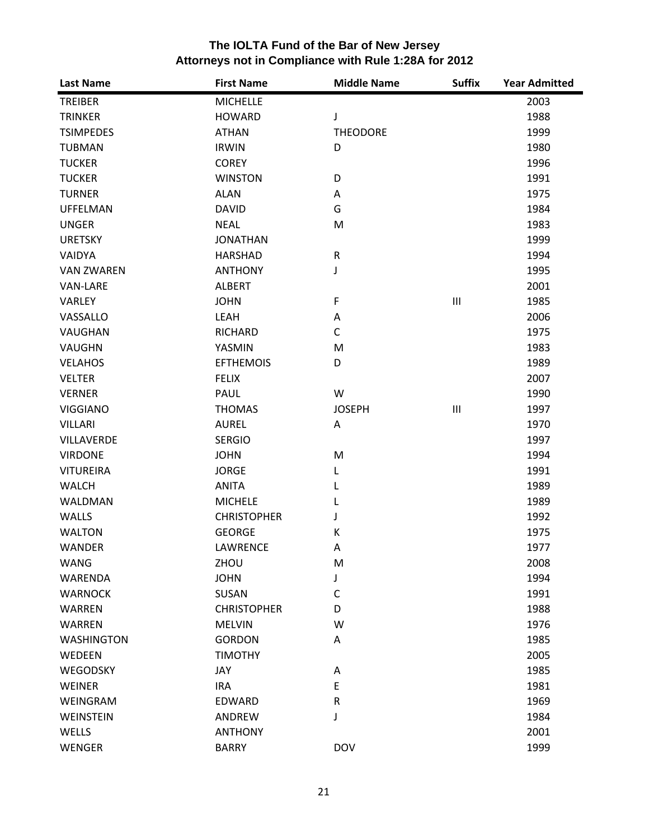| <b>Last Name</b>  | <b>First Name</b>  | <b>Middle Name</b> | <b>Suffix</b>                      | <b>Year Admitted</b> |
|-------------------|--------------------|--------------------|------------------------------------|----------------------|
| <b>TREIBER</b>    | <b>MICHELLE</b>    |                    |                                    | 2003                 |
| <b>TRINKER</b>    | <b>HOWARD</b>      | J                  |                                    | 1988                 |
| <b>TSIMPEDES</b>  | <b>ATHAN</b>       | <b>THEODORE</b>    |                                    | 1999                 |
| <b>TUBMAN</b>     | <b>IRWIN</b>       | D                  |                                    | 1980                 |
| <b>TUCKER</b>     | <b>COREY</b>       |                    |                                    | 1996                 |
| <b>TUCKER</b>     | <b>WINSTON</b>     | D                  |                                    | 1991                 |
| <b>TURNER</b>     | <b>ALAN</b>        | Α                  |                                    | 1975                 |
| <b>UFFELMAN</b>   | <b>DAVID</b>       | G                  |                                    | 1984                 |
| <b>UNGER</b>      | <b>NEAL</b>        | M                  |                                    | 1983                 |
| <b>URETSKY</b>    | <b>JONATHAN</b>    |                    |                                    | 1999                 |
| <b>VAIDYA</b>     | <b>HARSHAD</b>     | ${\sf R}$          |                                    | 1994                 |
| <b>VAN ZWAREN</b> | <b>ANTHONY</b>     | J                  |                                    | 1995                 |
| <b>VAN-LARE</b>   | <b>ALBERT</b>      |                    |                                    | 2001                 |
| <b>VARLEY</b>     | <b>JOHN</b>        | F                  | $\ensuremath{\mathsf{III}}\xspace$ | 1985                 |
| VASSALLO          | LEAH               | Α                  |                                    | 2006                 |
| VAUGHAN           | <b>RICHARD</b>     | $\mathsf{C}$       |                                    | 1975                 |
| VAUGHN            | YASMIN             | M                  |                                    | 1983                 |
| <b>VELAHOS</b>    | <b>EFTHEMOIS</b>   | D                  |                                    | 1989                 |
| <b>VELTER</b>     | <b>FELIX</b>       |                    |                                    | 2007                 |
| <b>VERNER</b>     | PAUL               | W                  |                                    | 1990                 |
| <b>VIGGIANO</b>   | <b>THOMAS</b>      | <b>JOSEPH</b>      | $\ensuremath{\mathsf{III}}\xspace$ | 1997                 |
| <b>VILLARI</b>    | <b>AUREL</b>       | Α                  |                                    | 1970                 |
| VILLAVERDE        | <b>SERGIO</b>      |                    |                                    | 1997                 |
| <b>VIRDONE</b>    | <b>JOHN</b>        | M                  |                                    | 1994                 |
| <b>VITUREIRA</b>  | <b>JORGE</b>       | L                  |                                    | 1991                 |
| <b>WALCH</b>      | <b>ANITA</b>       | L                  |                                    | 1989                 |
| WALDMAN           | <b>MICHELE</b>     | L                  |                                    | 1989                 |
| <b>WALLS</b>      | <b>CHRISTOPHER</b> | J                  |                                    | 1992                 |
| <b>WALTON</b>     | <b>GEORGE</b>      | К                  |                                    | 1975                 |
| <b>WANDER</b>     | LAWRENCE           | Α                  |                                    | 1977                 |
| <b>WANG</b>       | ZHOU               | M                  |                                    | 2008                 |
| <b>WARENDA</b>    | <b>JOHN</b>        | J                  |                                    | 1994                 |
| <b>WARNOCK</b>    | SUSAN              | $\mathsf{C}$       |                                    | 1991                 |
| WARREN            | <b>CHRISTOPHER</b> | D                  |                                    | 1988                 |
| <b>WARREN</b>     | <b>MELVIN</b>      | W                  |                                    | 1976                 |
| <b>WASHINGTON</b> | <b>GORDON</b>      | Α                  |                                    | 1985                 |
| WEDEEN            | <b>TIMOTHY</b>     |                    |                                    | 2005                 |
| WEGODSKY          | JAY                | Α                  |                                    | 1985                 |
| WEINER            | <b>IRA</b>         | E                  |                                    | 1981                 |
| WEINGRAM          | EDWARD             | ${\sf R}$          |                                    | 1969                 |
| WEINSTEIN         | <b>ANDREW</b>      | J                  |                                    | 1984                 |
| WELLS             | <b>ANTHONY</b>     |                    |                                    | 2001                 |
| <b>WENGER</b>     | <b>BARRY</b>       | <b>DOV</b>         |                                    | 1999                 |